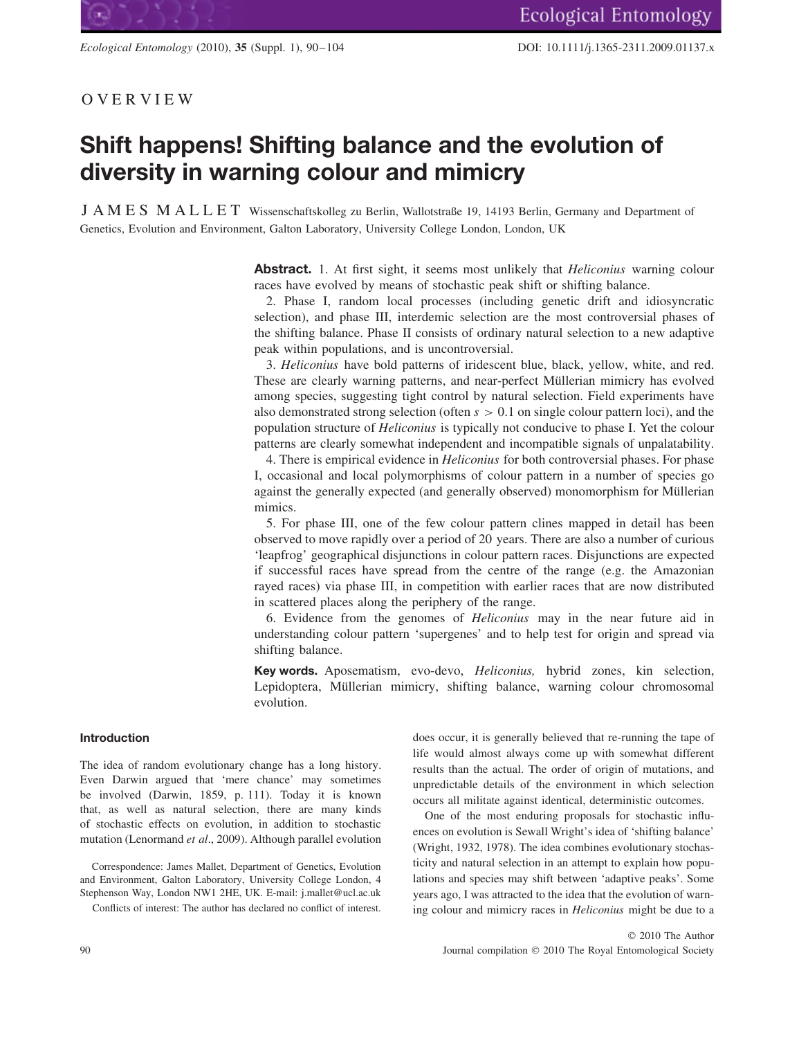## OVERVIEW

# **Shift happens! Shifting balance and the evolution of diversity in warning colour and mimicry**

JAMES MALLET Wissenschaftskolleg zu Berlin, Wallotstraße 19, 14193 Berlin, Germany and Department of Genetics, Evolution and Environment, Galton Laboratory, University College London, London, UK

> **Abstract.** 1. At first sight, it seems most unlikely that *Heliconius* warning colour races have evolved by means of stochastic peak shift or shifting balance.

> 2. Phase I, random local processes (including genetic drift and idiosyncratic selection), and phase III, interdemic selection are the most controversial phases of the shifting balance. Phase II consists of ordinary natural selection to a new adaptive peak within populations, and is uncontroversial.

> 3. *Heliconius* have bold patterns of iridescent blue, black, yellow, white, and red. These are clearly warning patterns, and near-perfect Müllerian mimicry has evolved among species, suggesting tight control by natural selection. Field experiments have also demonstrated strong selection (often *s >* 0*.*1 on single colour pattern loci), and the population structure of *Heliconius* is typically not conducive to phase I. Yet the colour patterns are clearly somewhat independent and incompatible signals of unpalatability.

> 4. There is empirical evidence in *Heliconius* for both controversial phases. For phase I, occasional and local polymorphisms of colour pattern in a number of species go against the generally expected (and generally observed) monomorphism for Müllerian mimics.

> 5. For phase III, one of the few colour pattern clines mapped in detail has been observed to move rapidly over a period of 20 years. There are also a number of curious 'leapfrog' geographical disjunctions in colour pattern races. Disjunctions are expected if successful races have spread from the centre of the range (e.g. the Amazonian rayed races) via phase III, in competition with earlier races that are now distributed in scattered places along the periphery of the range.

> 6. Evidence from the genomes of *Heliconius* may in the near future aid in understanding colour pattern 'supergenes' and to help test for origin and spread via shifting balance.

> **Key words.** Aposematism, evo-devo, *Heliconius,* hybrid zones, kin selection, Lepidoptera, Müllerian mimicry, shifting balance, warning colour chromosomal evolution.

## **Introduction**

The idea of random evolutionary change has a long history. Even Darwin argued that 'mere chance' may sometimes be involved (Darwin, 1859, p. 111). Today it is known that, as well as natural selection, there are many kinds of stochastic effects on evolution, in addition to stochastic mutation (Lenormand *et al*., 2009). Although parallel evolution

Correspondence: James Mallet, Department of Genetics, Evolution and Environment, Galton Laboratory, University College London, 4 Stephenson Way, London NW1 2HE, UK. E-mail: j.mallet@ucl.ac.uk Conflicts of interest: The author has declared no conflict of interest.

does occur, it is generally believed that re-running the tape of life would almost always come up with somewhat different results than the actual. The order of origin of mutations, and unpredictable details of the environment in which selection occurs all militate against identical, deterministic outcomes.

One of the most enduring proposals for stochastic influences on evolution is Sewall Wright's idea of 'shifting balance' (Wright, 1932, 1978). The idea combines evolutionary stochasticity and natural selection in an attempt to explain how populations and species may shift between 'adaptive peaks'. Some years ago, I was attracted to the idea that the evolution of warning colour and mimicry races in *Heliconius* might be due to a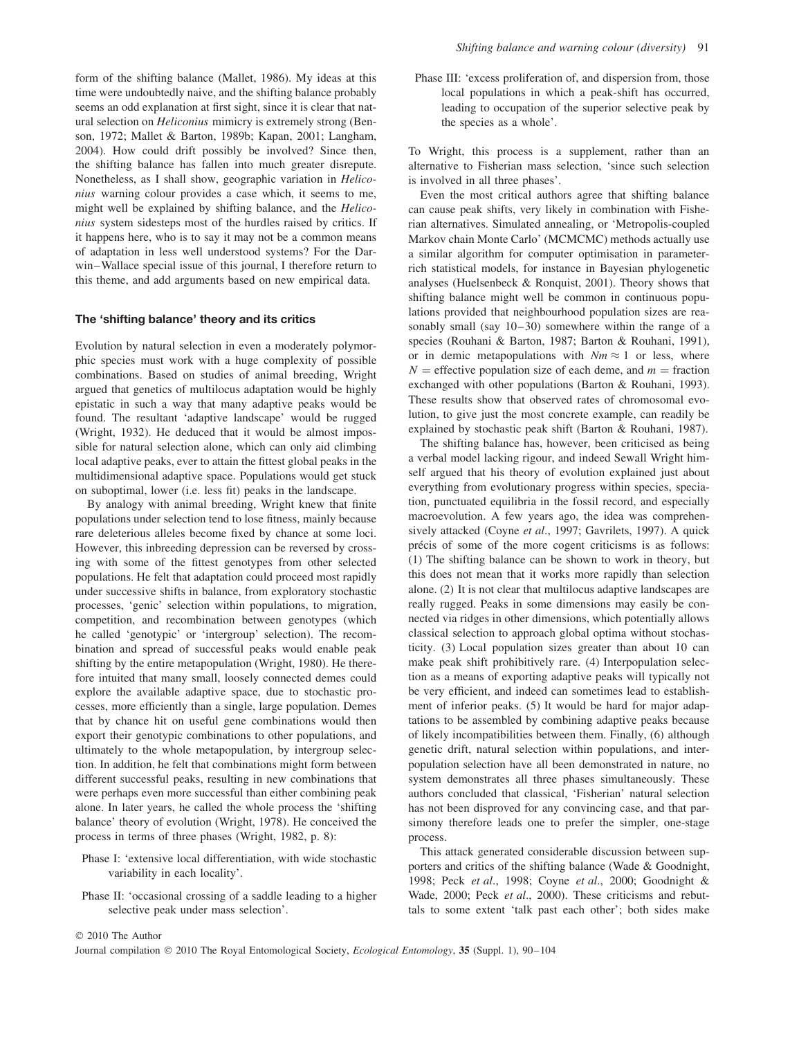form of the shifting balance (Mallet, 1986). My ideas at this time were undoubtedly naive, and the shifting balance probably seems an odd explanation at first sight, since it is clear that natural selection on *Heliconius* mimicry is extremely strong (Benson, 1972; Mallet & Barton, 1989b; Kapan, 2001; Langham, 2004). How could drift possibly be involved? Since then, the shifting balance has fallen into much greater disrepute. Nonetheless, as I shall show, geographic variation in *Heliconius* warning colour provides a case which, it seems to me, might well be explained by shifting balance, and the *Heliconius* system sidesteps most of the hurdles raised by critics. If it happens here, who is to say it may not be a common means of adaptation in less well understood systems? For the Darwin–Wallace special issue of this journal, I therefore return to this theme, and add arguments based on new empirical data.

#### **The 'shifting balance' theory and its critics**

Evolution by natural selection in even a moderately polymorphic species must work with a huge complexity of possible combinations. Based on studies of animal breeding, Wright argued that genetics of multilocus adaptation would be highly epistatic in such a way that many adaptive peaks would be found. The resultant 'adaptive landscape' would be rugged (Wright, 1932). He deduced that it would be almost impossible for natural selection alone, which can only aid climbing local adaptive peaks, ever to attain the fittest global peaks in the multidimensional adaptive space. Populations would get stuck on suboptimal, lower (i.e. less fit) peaks in the landscape.

By analogy with animal breeding, Wright knew that finite populations under selection tend to lose fitness, mainly because rare deleterious alleles become fixed by chance at some loci. However, this inbreeding depression can be reversed by crossing with some of the fittest genotypes from other selected populations. He felt that adaptation could proceed most rapidly under successive shifts in balance, from exploratory stochastic processes, 'genic' selection within populations, to migration, competition, and recombination between genotypes (which he called 'genotypic' or 'intergroup' selection). The recombination and spread of successful peaks would enable peak shifting by the entire metapopulation (Wright, 1980). He therefore intuited that many small, loosely connected demes could explore the available adaptive space, due to stochastic processes, more efficiently than a single, large population. Demes that by chance hit on useful gene combinations would then export their genotypic combinations to other populations, and ultimately to the whole metapopulation, by intergroup selection. In addition, he felt that combinations might form between different successful peaks, resulting in new combinations that were perhaps even more successful than either combining peak alone. In later years, he called the whole process the 'shifting balance' theory of evolution (Wright, 1978). He conceived the process in terms of three phases (Wright, 1982, p. 8):

- Phase I: 'extensive local differentiation, with wide stochastic variability in each locality'.
- Phase II: 'occasional crossing of a saddle leading to a higher selective peak under mass selection'.

Phase III: 'excess proliferation of, and dispersion from, those local populations in which a peak-shift has occurred, leading to occupation of the superior selective peak by the species as a whole'.

To Wright, this process is a supplement, rather than an alternative to Fisherian mass selection, 'since such selection is involved in all three phases'.

Even the most critical authors agree that shifting balance can cause peak shifts, very likely in combination with Fisherian alternatives. Simulated annealing, or 'Metropolis-coupled Markov chain Monte Carlo' (MCMCMC) methods actually use a similar algorithm for computer optimisation in parameterrich statistical models, for instance in Bayesian phylogenetic analyses (Huelsenbeck & Ronquist, 2001). Theory shows that shifting balance might well be common in continuous populations provided that neighbourhood population sizes are reasonably small (say 10–30) somewhere within the range of a species (Rouhani & Barton, 1987; Barton & Rouhani, 1991), or in demic metapopulations with  $Nm \approx 1$  or less, where  $N =$  effective population size of each deme, and  $m =$  fraction exchanged with other populations (Barton & Rouhani, 1993). These results show that observed rates of chromosomal evolution, to give just the most concrete example, can readily be explained by stochastic peak shift (Barton & Rouhani, 1987).

The shifting balance has, however, been criticised as being a verbal model lacking rigour, and indeed Sewall Wright himself argued that his theory of evolution explained just about everything from evolutionary progress within species, speciation, punctuated equilibria in the fossil record, and especially macroevolution. A few years ago, the idea was comprehensively attacked (Coyne *et al*., 1997; Gavrilets, 1997). A quick précis of some of the more cogent criticisms is as follows: (1) The shifting balance can be shown to work in theory, but this does not mean that it works more rapidly than selection alone. (2) It is not clear that multilocus adaptive landscapes are really rugged. Peaks in some dimensions may easily be connected via ridges in other dimensions, which potentially allows classical selection to approach global optima without stochasticity. (3) Local population sizes greater than about 10 can make peak shift prohibitively rare. (4) Interpopulation selection as a means of exporting adaptive peaks will typically not be very efficient, and indeed can sometimes lead to establishment of inferior peaks. (5) It would be hard for major adaptations to be assembled by combining adaptive peaks because of likely incompatibilities between them. Finally, (6) although genetic drift, natural selection within populations, and interpopulation selection have all been demonstrated in nature, no system demonstrates all three phases simultaneously. These authors concluded that classical, 'Fisherian' natural selection has not been disproved for any convincing case, and that parsimony therefore leads one to prefer the simpler, one-stage process.

This attack generated considerable discussion between supporters and critics of the shifting balance (Wade & Goodnight, 1998; Peck *et al*., 1998; Coyne *et al*., 2000; Goodnight & Wade, 2000; Peck *et al*., 2000). These criticisms and rebuttals to some extent 'talk past each other'; both sides make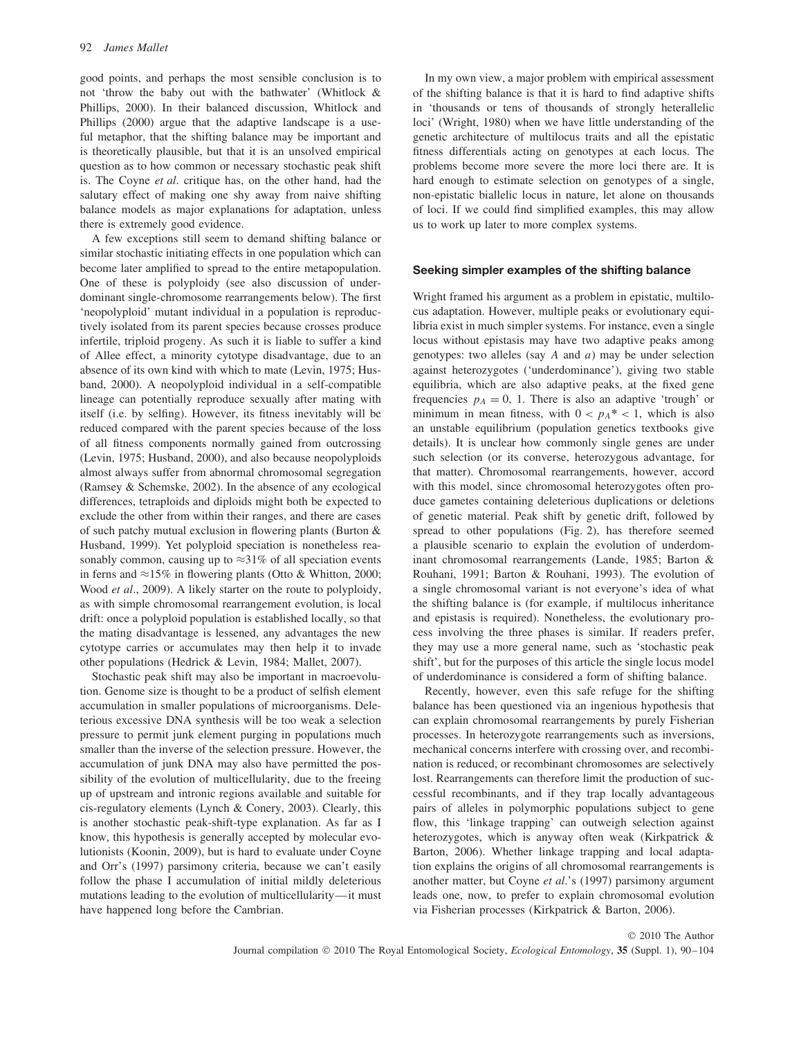good points, and perhaps the most sensible conclusion is to not 'throw the baby out with the bathwater' (Whitlock & Phillips, 2000). In their balanced discussion, Whitlock and Phillips (2000) argue that the adaptive landscape is a useful metaphor, that the shifting balance may be important and is theoretically plausible, but that it is an unsolved empirical question as to how common or necessary stochastic peak shift is. The Coyne *et al*. critique has, on the other hand, had the salutary effect of making one shy away from naive shifting balance models as major explanations for adaptation, unless there is extremely good evidence.

A few exceptions still seem to demand shifting balance or similar stochastic initiating effects in one population which can become later amplified to spread to the entire metapopulation. One of these is polyploidy (see also discussion of underdominant single-chromosome rearrangements below). The first 'neopolyploid' mutant individual in a population is reproductively isolated from its parent species because crosses produce infertile, triploid progeny. As such it is liable to suffer a kind of Allee effect, a minority cytotype disadvantage, due to an absence of its own kind with which to mate (Levin, 1975; Husband, 2000). A neopolyploid individual in a self-compatible lineage can potentially reproduce sexually after mating with itself (i.e. by selfing). However, its fitness inevitably will be reduced compared with the parent species because of the loss of all fitness components normally gained from outcrossing (Levin, 1975; Husband, 2000), and also because neopolyploids almost always suffer from abnormal chromosomal segregation (Ramsey & Schemske, 2002). In the absence of any ecological differences, tetraploids and diploids might both be expected to exclude the other from within their ranges, and there are cases of such patchy mutual exclusion in flowering plants (Burton & Husband, 1999). Yet polyploid speciation is nonetheless reasonably common, causing up to  $\approx$ 31% of all speciation events in ferns and ≈15% in flowering plants (Otto & Whitton, 2000; Wood *et al*., 2009). A likely starter on the route to polyploidy, as with simple chromosomal rearrangement evolution, is local drift: once a polyploid population is established locally, so that the mating disadvantage is lessened, any advantages the new cytotype carries or accumulates may then help it to invade other populations (Hedrick & Levin, 1984; Mallet, 2007).

Stochastic peak shift may also be important in macroevolution. Genome size is thought to be a product of selfish element accumulation in smaller populations of microorganisms. Deleterious excessive DNA synthesis will be too weak a selection pressure to permit junk element purging in populations much smaller than the inverse of the selection pressure. However, the accumulation of junk DNA may also have permitted the possibility of the evolution of multicellularity, due to the freeing up of upstream and intronic regions available and suitable for cis-regulatory elements (Lynch & Conery, 2003). Clearly, this is another stochastic peak-shift-type explanation. As far as I know, this hypothesis is generally accepted by molecular evolutionists (Koonin, 2009), but is hard to evaluate under Coyne and Orr's (1997) parsimony criteria, because we can't easily follow the phase I accumulation of initial mildly deleterious mutations leading to the evolution of multicellularity—it must have happened long before the Cambrian.

In my own view, a major problem with empirical assessment of the shifting balance is that it is hard to find adaptive shifts in 'thousands or tens of thousands of strongly heterallelic loci' (Wright, 1980) when we have little understanding of the genetic architecture of multilocus traits and all the epistatic fitness differentials acting on genotypes at each locus. The problems become more severe the more loci there are. It is hard enough to estimate selection on genotypes of a single, non-epistatic biallelic locus in nature, let alone on thousands of loci. If we could find simplified examples, this may allow us to work up later to more complex systems.

#### **Seeking simpler examples of the shifting balance**

Wright framed his argument as a problem in epistatic, multilocus adaptation. However, multiple peaks or evolutionary equilibria exist in much simpler systems. For instance, even a single locus without epistasis may have two adaptive peaks among genotypes: two alleles (say *A* and *a*) may be under selection against heterozygotes ('underdominance'), giving two stable equilibria, which are also adaptive peaks, at the fixed gene frequencies  $p_A = 0$ , 1. There is also an adaptive 'trough' or minimum in mean fitness, with  $0 < p_A^* < 1$ , which is also an unstable equilibrium (population genetics textbooks give details). It is unclear how commonly single genes are under such selection (or its converse, heterozygous advantage, for that matter). Chromosomal rearrangements, however, accord with this model, since chromosomal heterozygotes often produce gametes containing deleterious duplications or deletions of genetic material. Peak shift by genetic drift, followed by spread to other populations (Fig. 2), has therefore seemed a plausible scenario to explain the evolution of underdominant chromosomal rearrangements (Lande, 1985; Barton & Rouhani, 1991; Barton & Rouhani, 1993). The evolution of a single chromosomal variant is not everyone's idea of what the shifting balance is (for example, if multilocus inheritance and epistasis is required). Nonetheless, the evolutionary process involving the three phases is similar. If readers prefer, they may use a more general name, such as 'stochastic peak shift', but for the purposes of this article the single locus model of underdominance is considered a form of shifting balance.

Recently, however, even this safe refuge for the shifting balance has been questioned via an ingenious hypothesis that can explain chromosomal rearrangements by purely Fisherian processes. In heterozygote rearrangements such as inversions, mechanical concerns interfere with crossing over, and recombination is reduced, or recombinant chromosomes are selectively lost. Rearrangements can therefore limit the production of successful recombinants, and if they trap locally advantageous pairs of alleles in polymorphic populations subject to gene flow, this 'linkage trapping' can outweigh selection against heterozygotes, which is anyway often weak (Kirkpatrick & Barton, 2006). Whether linkage trapping and local adaptation explains the origins of all chromosomal rearrangements is another matter, but Coyne *et al*.'s (1997) parsimony argument leads one, now, to prefer to explain chromosomal evolution via Fisherian processes (Kirkpatrick & Barton, 2006).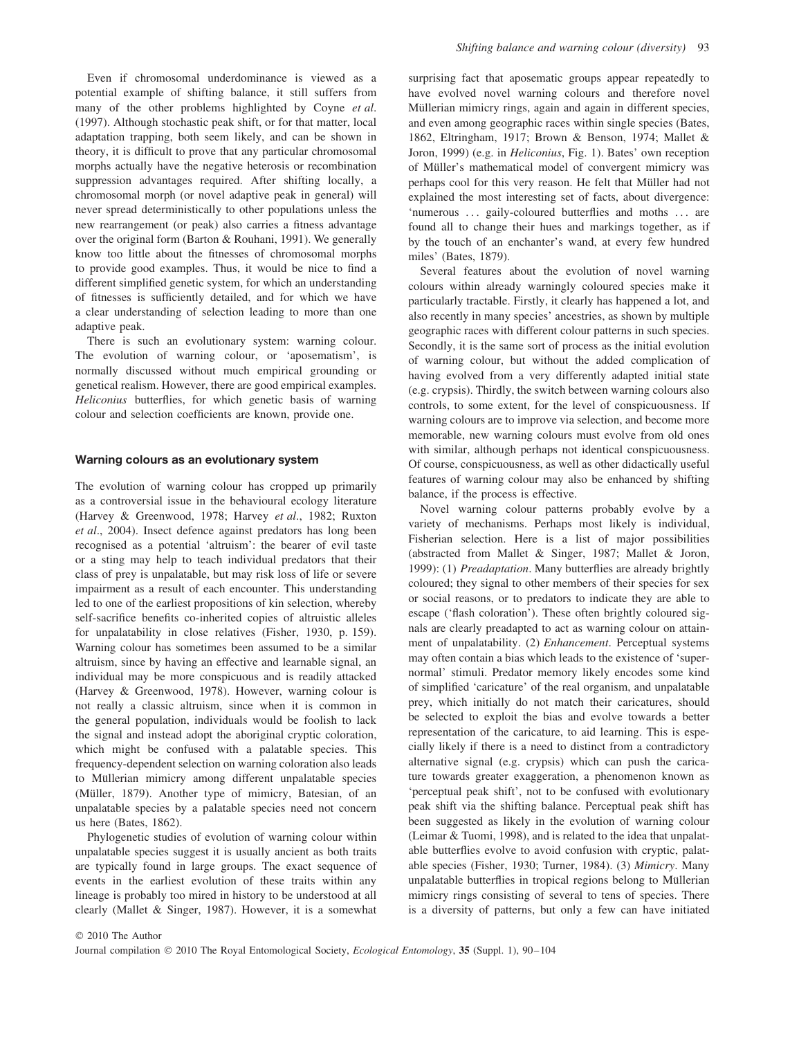Even if chromosomal underdominance is viewed as a potential example of shifting balance, it still suffers from many of the other problems highlighted by Coyne *et al*. (1997). Although stochastic peak shift, or for that matter, local adaptation trapping, both seem likely, and can be shown in theory, it is difficult to prove that any particular chromosomal morphs actually have the negative heterosis or recombination suppression advantages required. After shifting locally, a chromosomal morph (or novel adaptive peak in general) will never spread deterministically to other populations unless the new rearrangement (or peak) also carries a fitness advantage over the original form (Barton & Rouhani, 1991). We generally know too little about the fitnesses of chromosomal morphs to provide good examples. Thus, it would be nice to find a different simplified genetic system, for which an understanding of fitnesses is sufficiently detailed, and for which we have a clear understanding of selection leading to more than one adaptive peak.

There is such an evolutionary system: warning colour. The evolution of warning colour, or 'aposematism', is normally discussed without much empirical grounding or genetical realism. However, there are good empirical examples. *Heliconius* butterflies, for which genetic basis of warning colour and selection coefficients are known, provide one.

#### **Warning colours as an evolutionary system**

The evolution of warning colour has cropped up primarily as a controversial issue in the behavioural ecology literature (Harvey & Greenwood, 1978; Harvey *et al*., 1982; Ruxton *et al*., 2004). Insect defence against predators has long been recognised as a potential 'altruism': the bearer of evil taste or a sting may help to teach individual predators that their class of prey is unpalatable, but may risk loss of life or severe impairment as a result of each encounter. This understanding led to one of the earliest propositions of kin selection, whereby self-sacrifice benefits co-inherited copies of altruistic alleles for unpalatability in close relatives (Fisher, 1930, p. 159). Warning colour has sometimes been assumed to be a similar altruism, since by having an effective and learnable signal, an individual may be more conspicuous and is readily attacked (Harvey & Greenwood, 1978). However, warning colour is not really a classic altruism, since when it is common in the general population, individuals would be foolish to lack the signal and instead adopt the aboriginal cryptic coloration, which might be confused with a palatable species. This frequency-dependent selection on warning coloration also leads to Müllerian mimicry among different unpalatable species (Müller, 1879). Another type of mimicry, Batesian, of an unpalatable species by a palatable species need not concern us here (Bates, 1862).

Phylogenetic studies of evolution of warning colour within unpalatable species suggest it is usually ancient as both traits are typically found in large groups. The exact sequence of events in the earliest evolution of these traits within any lineage is probably too mired in history to be understood at all clearly (Mallet & Singer, 1987). However, it is a somewhat surprising fact that aposematic groups appear repeatedly to have evolved novel warning colours and therefore novel Müllerian mimicry rings, again and again in different species, and even among geographic races within single species (Bates, 1862, Eltringham, 1917; Brown & Benson, 1974; Mallet & Joron, 1999) (e.g. in *Heliconius*, Fig. 1). Bates' own reception of Müller's mathematical model of convergent mimicry was perhaps cool for this very reason. He felt that Müller had not explained the most interesting set of facts, about divergence: 'numerous *...* gaily-coloured butterflies and moths *...* are found all to change their hues and markings together, as if by the touch of an enchanter's wand, at every few hundred miles' (Bates, 1879).

Several features about the evolution of novel warning colours within already warningly coloured species make it particularly tractable. Firstly, it clearly has happened a lot, and also recently in many species' ancestries, as shown by multiple geographic races with different colour patterns in such species. Secondly, it is the same sort of process as the initial evolution of warning colour, but without the added complication of having evolved from a very differently adapted initial state (e.g. crypsis). Thirdly, the switch between warning colours also controls, to some extent, for the level of conspicuousness. If warning colours are to improve via selection, and become more memorable, new warning colours must evolve from old ones with similar, although perhaps not identical conspicuousness. Of course, conspicuousness, as well as other didactically useful features of warning colour may also be enhanced by shifting balance, if the process is effective.

Novel warning colour patterns probably evolve by a variety of mechanisms. Perhaps most likely is individual, Fisherian selection. Here is a list of major possibilities (abstracted from Mallet & Singer, 1987; Mallet & Joron, 1999): (1) *Preadaptation*. Many butterflies are already brightly coloured; they signal to other members of their species for sex or social reasons, or to predators to indicate they are able to escape ('flash coloration'). These often brightly coloured signals are clearly preadapted to act as warning colour on attainment of unpalatability. (2) *Enhancement*. Perceptual systems may often contain a bias which leads to the existence of 'supernormal' stimuli. Predator memory likely encodes some kind of simplified 'caricature' of the real organism, and unpalatable prey, which initially do not match their caricatures, should be selected to exploit the bias and evolve towards a better representation of the caricature, to aid learning. This is especially likely if there is a need to distinct from a contradictory alternative signal (e.g. crypsis) which can push the caricature towards greater exaggeration, a phenomenon known as 'perceptual peak shift', not to be confused with evolutionary peak shift via the shifting balance. Perceptual peak shift has been suggested as likely in the evolution of warning colour (Leimar & Tuomi, 1998), and is related to the idea that unpalatable butterflies evolve to avoid confusion with cryptic, palatable species (Fisher, 1930; Turner, 1984). (3) *Mimicry*. Many unpalatable butterflies in tropical regions belong to Müllerian mimicry rings consisting of several to tens of species. There is a diversity of patterns, but only a few can have initiated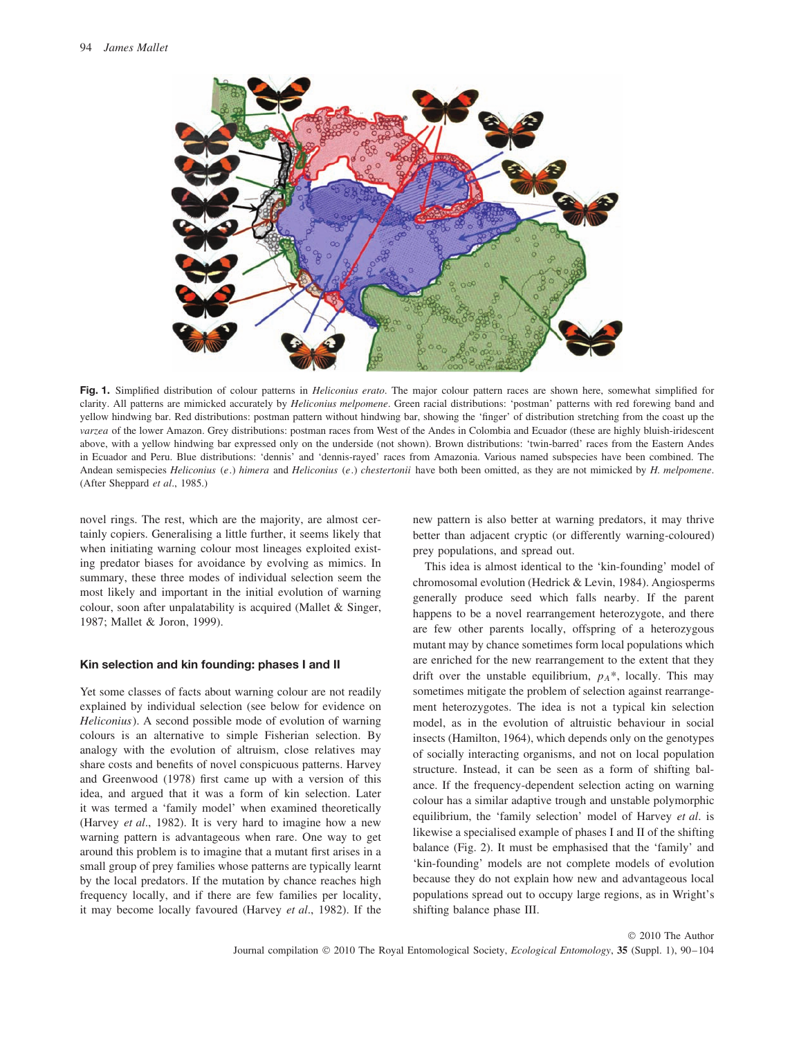

**Fig. 1.** Simplified distribution of colour patterns in *Heliconius erato*. The major colour pattern races are shown here, somewhat simplified for clarity. All patterns are mimicked accurately by *Heliconius melpomene*. Green racial distributions: 'postman' patterns with red forewing band and yellow hindwing bar. Red distributions: postman pattern without hindwing bar, showing the 'finger' of distribution stretching from the coast up the *varzea* of the lower Amazon. Grey distributions: postman races from West of the Andes in Colombia and Ecuador (these are highly bluish-iridescent above, with a yellow hindwing bar expressed only on the underside (not shown). Brown distributions: 'twin-barred' races from the Eastern Andes in Ecuador and Peru. Blue distributions: 'dennis' and 'dennis-rayed' races from Amazonia. Various named subspecies have been combined. The Andean semispecies *Heliconius* (*e.*) *himera* and *Heliconius* (*e.*) *chestertonii* have both been omitted, as they are not mimicked by *H. melpomene*. (After Sheppard *et al*., 1985.)

novel rings. The rest, which are the majority, are almost certainly copiers. Generalising a little further, it seems likely that when initiating warning colour most lineages exploited existing predator biases for avoidance by evolving as mimics. In summary, these three modes of individual selection seem the most likely and important in the initial evolution of warning colour, soon after unpalatability is acquired (Mallet & Singer, 1987; Mallet & Joron, 1999).

#### **Kin selection and kin founding: phases I and II**

Yet some classes of facts about warning colour are not readily explained by individual selection (see below for evidence on *Heliconius*). A second possible mode of evolution of warning colours is an alternative to simple Fisherian selection. By analogy with the evolution of altruism, close relatives may share costs and benefits of novel conspicuous patterns. Harvey and Greenwood (1978) first came up with a version of this idea, and argued that it was a form of kin selection. Later it was termed a 'family model' when examined theoretically (Harvey *et al*., 1982). It is very hard to imagine how a new warning pattern is advantageous when rare. One way to get around this problem is to imagine that a mutant first arises in a small group of prey families whose patterns are typically learnt by the local predators. If the mutation by chance reaches high frequency locally, and if there are few families per locality, it may become locally favoured (Harvey *et al*., 1982). If the new pattern is also better at warning predators, it may thrive better than adjacent cryptic (or differently warning-coloured) prey populations, and spread out.

This idea is almost identical to the 'kin-founding' model of chromosomal evolution (Hedrick & Levin, 1984). Angiosperms generally produce seed which falls nearby. If the parent happens to be a novel rearrangement heterozygote, and there are few other parents locally, offspring of a heterozygous mutant may by chance sometimes form local populations which are enriched for the new rearrangement to the extent that they drift over the unstable equilibrium,  $p_A^*$ , locally. This may sometimes mitigate the problem of selection against rearrangement heterozygotes. The idea is not a typical kin selection model, as in the evolution of altruistic behaviour in social insects (Hamilton, 1964), which depends only on the genotypes of socially interacting organisms, and not on local population structure. Instead, it can be seen as a form of shifting balance. If the frequency-dependent selection acting on warning colour has a similar adaptive trough and unstable polymorphic equilibrium, the 'family selection' model of Harvey *et al*. is likewise a specialised example of phases I and II of the shifting balance (Fig. 2). It must be emphasised that the 'family' and 'kin-founding' models are not complete models of evolution because they do not explain how new and advantageous local populations spread out to occupy large regions, as in Wright's shifting balance phase III.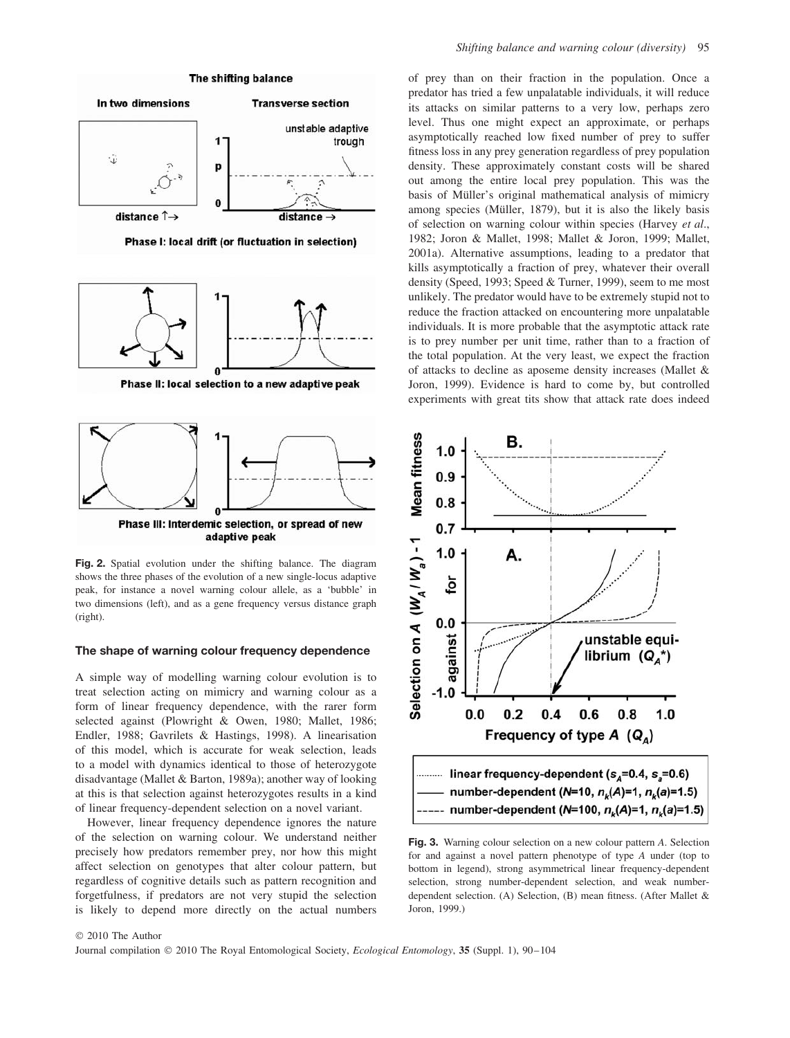

#### **The shape of warning colour frequency dependence**

A simple way of modelling warning colour evolution is to treat selection acting on mimicry and warning colour as a form of linear frequency dependence, with the rarer form selected against (Plowright & Owen, 1980; Mallet, 1986; Endler, 1988; Gavrilets & Hastings, 1998). A linearisation of this model, which is accurate for weak selection, leads to a model with dynamics identical to those of heterozygote disadvantage (Mallet & Barton, 1989a); another way of looking at this is that selection against heterozygotes results in a kind of linear frequency-dependent selection on a novel variant.

However, linear frequency dependence ignores the nature of the selection on warning colour. We understand neither precisely how predators remember prey, nor how this might affect selection on genotypes that alter colour pattern, but regardless of cognitive details such as pattern recognition and forgetfulness, if predators are not very stupid the selection is likely to depend more directly on the actual numbers of prey than on their fraction in the population. Once a predator has tried a few unpalatable individuals, it will reduce its attacks on similar patterns to a very low, perhaps zero level. Thus one might expect an approximate, or perhaps asymptotically reached low fixed number of prey to suffer fitness loss in any prey generation regardless of prey population density. These approximately constant costs will be shared out among the entire local prey population. This was the basis of Müller's original mathematical analysis of mimicry among species (Müller, 1879), but it is also the likely basis of selection on warning colour within species (Harvey *et al*., 1982; Joron & Mallet, 1998; Mallet & Joron, 1999; Mallet, 2001a). Alternative assumptions, leading to a predator that kills asymptotically a fraction of prey, whatever their overall density (Speed, 1993; Speed & Turner, 1999), seem to me most unlikely. The predator would have to be extremely stupid not to reduce the fraction attacked on encountering more unpalatable individuals. It is more probable that the asymptotic attack rate is to prey number per unit time, rather than to a fraction of the total population. At the very least, we expect the fraction of attacks to decline as aposeme density increases (Mallet & Joron, 1999). Evidence is hard to come by, but controlled experiments with great tits show that attack rate does indeed



**Fig. 3.** Warning colour selection on a new colour pattern *A*. Selection for and against a novel pattern phenotype of type *A* under (top to bottom in legend), strong asymmetrical linear frequency-dependent selection, strong number-dependent selection, and weak numberdependent selection. (A) Selection, (B) mean fitness. (After Mallet & Joron, 1999.)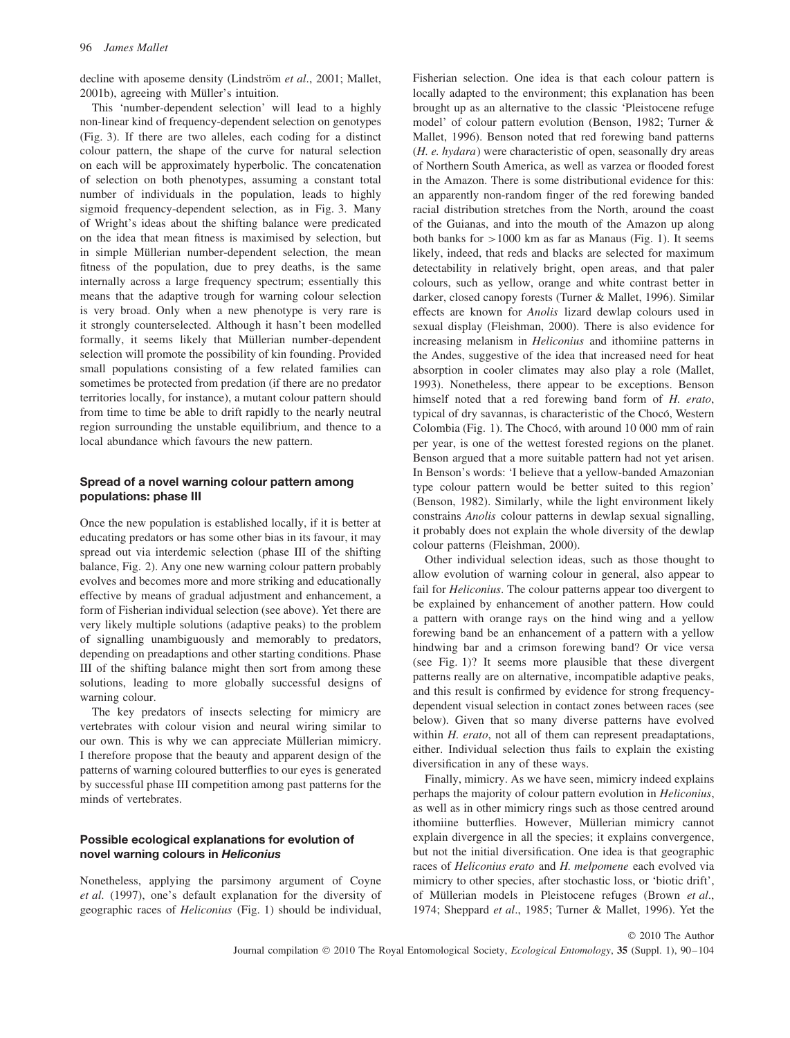decline with aposeme density (Lindström et al., 2001; Mallet, 2001b), agreeing with Müller's intuition.

This 'number-dependent selection' will lead to a highly non-linear kind of frequency-dependent selection on genotypes (Fig. 3). If there are two alleles, each coding for a distinct colour pattern, the shape of the curve for natural selection on each will be approximately hyperbolic. The concatenation of selection on both phenotypes, assuming a constant total number of individuals in the population, leads to highly sigmoid frequency-dependent selection, as in Fig. 3. Many of Wright's ideas about the shifting balance were predicated on the idea that mean fitness is maximised by selection, but in simple Müllerian number-dependent selection, the mean fitness of the population, due to prey deaths, is the same internally across a large frequency spectrum; essentially this means that the adaptive trough for warning colour selection is very broad. Only when a new phenotype is very rare is it strongly counterselected. Although it hasn't been modelled formally, it seems likely that Müllerian number-dependent selection will promote the possibility of kin founding. Provided small populations consisting of a few related families can sometimes be protected from predation (if there are no predator territories locally, for instance), a mutant colour pattern should from time to time be able to drift rapidly to the nearly neutral region surrounding the unstable equilibrium, and thence to a local abundance which favours the new pattern.

## **Spread of a novel warning colour pattern among populations: phase III**

Once the new population is established locally, if it is better at educating predators or has some other bias in its favour, it may spread out via interdemic selection (phase III of the shifting balance, Fig. 2). Any one new warning colour pattern probably evolves and becomes more and more striking and educationally effective by means of gradual adjustment and enhancement, a form of Fisherian individual selection (see above). Yet there are very likely multiple solutions (adaptive peaks) to the problem of signalling unambiguously and memorably to predators, depending on preadaptions and other starting conditions. Phase III of the shifting balance might then sort from among these solutions, leading to more globally successful designs of warning colour.

The key predators of insects selecting for mimicry are vertebrates with colour vision and neural wiring similar to our own. This is why we can appreciate Müllerian mimicry. I therefore propose that the beauty and apparent design of the patterns of warning coloured butterflies to our eyes is generated by successful phase III competition among past patterns for the minds of vertebrates.

## **Possible ecological explanations for evolution of novel warning colours in** *Heliconius*

Nonetheless, applying the parsimony argument of Coyne *et al*. (1997), one's default explanation for the diversity of geographic races of *Heliconius* (Fig. 1) should be individual, Fisherian selection. One idea is that each colour pattern is locally adapted to the environment; this explanation has been brought up as an alternative to the classic 'Pleistocene refuge model' of colour pattern evolution (Benson, 1982; Turner & Mallet, 1996). Benson noted that red forewing band patterns (*H. e. hydara*) were characteristic of open, seasonally dry areas of Northern South America, as well as varzea or flooded forest in the Amazon. There is some distributional evidence for this: an apparently non-random finger of the red forewing banded racial distribution stretches from the North, around the coast of the Guianas, and into the mouth of the Amazon up along both banks for *>*1000 km as far as Manaus (Fig. 1). It seems likely, indeed, that reds and blacks are selected for maximum detectability in relatively bright, open areas, and that paler colours, such as yellow, orange and white contrast better in darker, closed canopy forests (Turner & Mallet, 1996). Similar effects are known for *Anolis* lizard dewlap colours used in sexual display (Fleishman, 2000). There is also evidence for increasing melanism in *Heliconius* and ithomiine patterns in the Andes, suggestive of the idea that increased need for heat absorption in cooler climates may also play a role (Mallet, 1993). Nonetheless, there appear to be exceptions. Benson himself noted that a red forewing band form of *H. erato*, typical of dry savannas, is characteristic of the Chocó, Western Colombia (Fig. 1). The Chocó, with around 10 000 mm of rain per year, is one of the wettest forested regions on the planet. Benson argued that a more suitable pattern had not yet arisen. In Benson's words: 'I believe that a yellow-banded Amazonian type colour pattern would be better suited to this region' (Benson, 1982). Similarly, while the light environment likely constrains *Anolis* colour patterns in dewlap sexual signalling, it probably does not explain the whole diversity of the dewlap colour patterns (Fleishman, 2000).

Other individual selection ideas, such as those thought to allow evolution of warning colour in general, also appear to fail for *Heliconius*. The colour patterns appear too divergent to be explained by enhancement of another pattern. How could a pattern with orange rays on the hind wing and a yellow forewing band be an enhancement of a pattern with a yellow hindwing bar and a crimson forewing band? Or vice versa (see Fig. 1)? It seems more plausible that these divergent patterns really are on alternative, incompatible adaptive peaks, and this result is confirmed by evidence for strong frequencydependent visual selection in contact zones between races (see below). Given that so many diverse patterns have evolved within *H. erato*, not all of them can represent preadaptations, either. Individual selection thus fails to explain the existing diversification in any of these ways.

Finally, mimicry. As we have seen, mimicry indeed explains perhaps the majority of colour pattern evolution in *Heliconius*, as well as in other mimicry rings such as those centred around ithomiine butterflies. However, Müllerian mimicry cannot explain divergence in all the species; it explains convergence, but not the initial diversification. One idea is that geographic races of *Heliconius erato* and *H. melpomene* each evolved via mimicry to other species, after stochastic loss, or 'biotic drift', of Müllerian models in Pleistocene refuges (Brown et al., 1974; Sheppard *et al*., 1985; Turner & Mallet, 1996). Yet the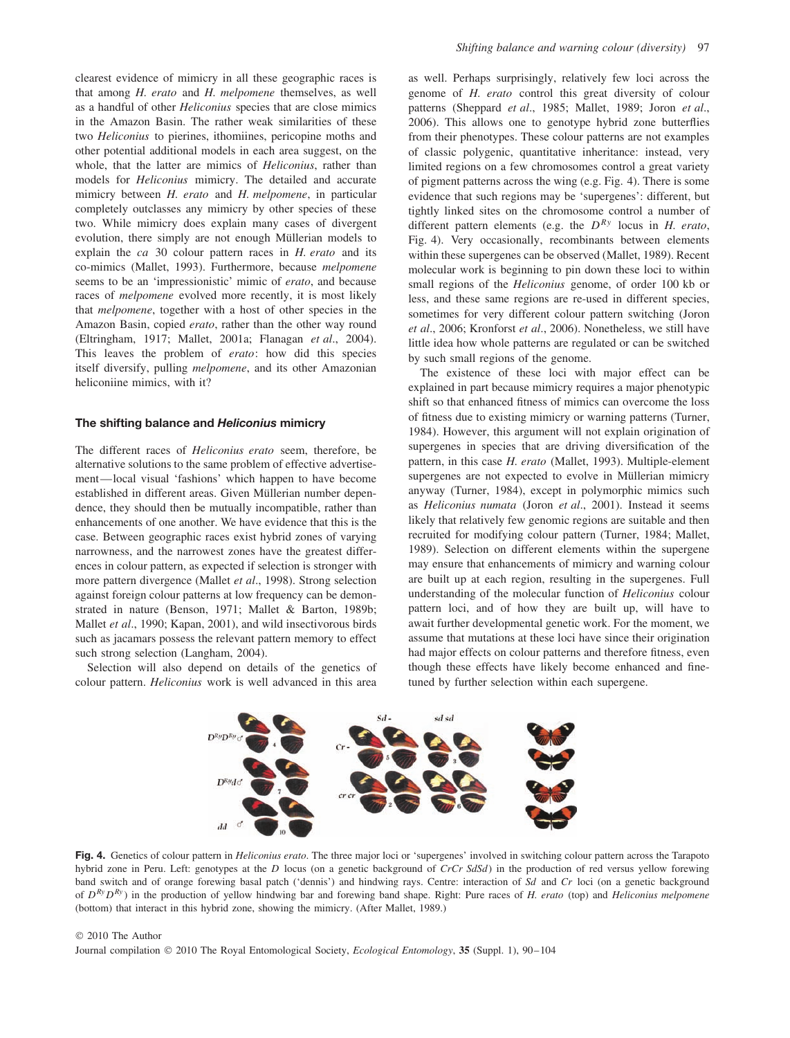clearest evidence of mimicry in all these geographic races is that among *H. erato* and *H. melpomene* themselves, as well as a handful of other *Heliconius* species that are close mimics in the Amazon Basin. The rather weak similarities of these two *Heliconius* to pierines, ithomiines, pericopine moths and other potential additional models in each area suggest, on the whole, that the latter are mimics of *Heliconius*, rather than models for *Heliconius* mimicry. The detailed and accurate mimicry between *H. erato* and *H. melpomene*, in particular completely outclasses any mimicry by other species of these two. While mimicry does explain many cases of divergent evolution, there simply are not enough Müllerian models to explain the *ca* 30 colour pattern races in *H. erato* and its co-mimics (Mallet, 1993). Furthermore, because *melpomene* seems to be an 'impressionistic' mimic of *erato*, and because races of *melpomene* evolved more recently, it is most likely that *melpomene*, together with a host of other species in the Amazon Basin, copied *erato*, rather than the other way round (Eltringham, 1917; Mallet, 2001a; Flanagan *et al*., 2004). This leaves the problem of *erato*: how did this species itself diversify, pulling *melpomene*, and its other Amazonian heliconiine mimics, with it?

#### **The shifting balance and** *Heliconius* **mimicry**

The different races of *Heliconius erato* seem, therefore, be alternative solutions to the same problem of effective advertisement—local visual 'fashions' which happen to have become established in different areas. Given Müllerian number dependence, they should then be mutually incompatible, rather than enhancements of one another. We have evidence that this is the case. Between geographic races exist hybrid zones of varying narrowness, and the narrowest zones have the greatest differences in colour pattern, as expected if selection is stronger with more pattern divergence (Mallet *et al*., 1998). Strong selection against foreign colour patterns at low frequency can be demonstrated in nature (Benson, 1971; Mallet & Barton, 1989b; Mallet *et al*., 1990; Kapan, 2001), and wild insectivorous birds such as jacamars possess the relevant pattern memory to effect such strong selection (Langham, 2004).

Selection will also depend on details of the genetics of colour pattern. *Heliconius* work is well advanced in this area as well. Perhaps surprisingly, relatively few loci across the genome of *H. erato* control this great diversity of colour patterns (Sheppard *et al*., 1985; Mallet, 1989; Joron *et al*., 2006). This allows one to genotype hybrid zone butterflies from their phenotypes. These colour patterns are not examples of classic polygenic, quantitative inheritance: instead, very limited regions on a few chromosomes control a great variety of pigment patterns across the wing (e.g. Fig. 4). There is some evidence that such regions may be 'supergenes': different, but tightly linked sites on the chromosome control a number of different pattern elements (e.g. the *DRy* locus in *H. erato*, Fig. 4). Very occasionally, recombinants between elements within these supergenes can be observed (Mallet, 1989). Recent molecular work is beginning to pin down these loci to within small regions of the *Heliconius* genome, of order 100 kb or less, and these same regions are re-used in different species, sometimes for very different colour pattern switching (Joron *et al*., 2006; Kronforst *et al*., 2006). Nonetheless, we still have little idea how whole patterns are regulated or can be switched by such small regions of the genome.

The existence of these loci with major effect can be explained in part because mimicry requires a major phenotypic shift so that enhanced fitness of mimics can overcome the loss of fitness due to existing mimicry or warning patterns (Turner, 1984). However, this argument will not explain origination of supergenes in species that are driving diversification of the pattern, in this case *H. erato* (Mallet, 1993). Multiple-element supergenes are not expected to evolve in Müllerian mimicry anyway (Turner, 1984), except in polymorphic mimics such as *Heliconius numata* (Joron *et al*., 2001). Instead it seems likely that relatively few genomic regions are suitable and then recruited for modifying colour pattern (Turner, 1984; Mallet, 1989). Selection on different elements within the supergene may ensure that enhancements of mimicry and warning colour are built up at each region, resulting in the supergenes. Full understanding of the molecular function of *Heliconius* colour pattern loci, and of how they are built up, will have to await further developmental genetic work. For the moment, we assume that mutations at these loci have since their origination had major effects on colour patterns and therefore fitness, even though these effects have likely become enhanced and finetuned by further selection within each supergene.



**Fig. 4.** Genetics of colour pattern in *Heliconius erato*. The three major loci or 'supergenes' involved in switching colour pattern across the Tarapoto hybrid zone in Peru. Left: genotypes at the *D* locus (on a genetic background of *CrCr SdSd*) in the production of red versus yellow forewing band switch and of orange forewing basal patch ('dennis') and hindwing rays. Centre: interaction of *Sd* and *Cr* loci (on a genetic background of *DRyDRy* ) in the production of yellow hindwing bar and forewing band shape. Right: Pure races of *H. erato* (top) and *Heliconius melpomene* (bottom) that interact in this hybrid zone, showing the mimicry. (After Mallet, 1989.)

© 2010 The Author Journal compilation © 2010 The Royal Entomological Society, *Ecological Entomology*, **35** (Suppl. 1), 90–104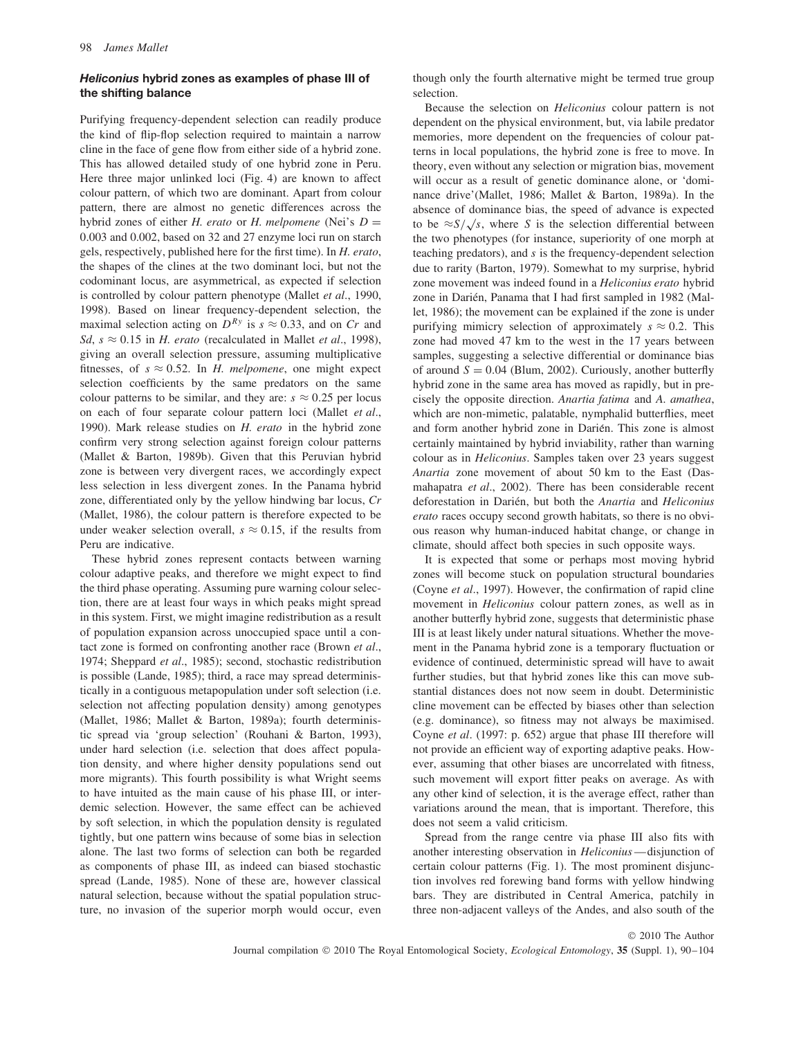### *Heliconius* **hybrid zones as examples of phase III of the shifting balance**

Purifying frequency-dependent selection can readily produce the kind of flip-flop selection required to maintain a narrow cline in the face of gene flow from either side of a hybrid zone. This has allowed detailed study of one hybrid zone in Peru. Here three major unlinked loci (Fig. 4) are known to affect colour pattern, of which two are dominant. Apart from colour pattern, there are almost no genetic differences across the hybrid zones of either *H. erato* or *H. melpomene* (Nei's *D* = 0*.*003 and 0.002, based on 32 and 27 enzyme loci run on starch gels, respectively, published here for the first time). In *H. erato*, the shapes of the clines at the two dominant loci, but not the codominant locus, are asymmetrical, as expected if selection is controlled by colour pattern phenotype (Mallet *et al*., 1990, 1998). Based on linear frequency-dependent selection, the maximal selection acting on  $D^{Ry}$  is  $s \approx 0.33$ , and on *Cr* and *Sd*,  $s \approx 0.15$  in *H. erato* (recalculated in Mallet *et al.*, 1998), giving an overall selection pressure, assuming multiplicative fitnesses, of  $s \approx 0.52$ . In *H. melpomene*, one might expect selection coefficients by the same predators on the same colour patterns to be similar, and they are:  $s \approx 0.25$  per locus on each of four separate colour pattern loci (Mallet *et al*., 1990). Mark release studies on *H. erato* in the hybrid zone confirm very strong selection against foreign colour patterns (Mallet & Barton, 1989b). Given that this Peruvian hybrid zone is between very divergent races, we accordingly expect less selection in less divergent zones. In the Panama hybrid zone, differentiated only by the yellow hindwing bar locus, *Cr* (Mallet, 1986), the colour pattern is therefore expected to be under weaker selection overall,  $s \approx 0.15$ , if the results from Peru are indicative.

These hybrid zones represent contacts between warning colour adaptive peaks, and therefore we might expect to find the third phase operating. Assuming pure warning colour selection, there are at least four ways in which peaks might spread in this system. First, we might imagine redistribution as a result of population expansion across unoccupied space until a contact zone is formed on confronting another race (Brown *et al*., 1974; Sheppard *et al*., 1985); second, stochastic redistribution is possible (Lande, 1985); third, a race may spread deterministically in a contiguous metapopulation under soft selection (i.e. selection not affecting population density) among genotypes (Mallet, 1986; Mallet & Barton, 1989a); fourth deterministic spread via 'group selection' (Rouhani & Barton, 1993), under hard selection (i.e. selection that does affect population density, and where higher density populations send out more migrants). This fourth possibility is what Wright seems to have intuited as the main cause of his phase III, or interdemic selection. However, the same effect can be achieved by soft selection, in which the population density is regulated tightly, but one pattern wins because of some bias in selection alone. The last two forms of selection can both be regarded as components of phase III, as indeed can biased stochastic spread (Lande, 1985). None of these are, however classical natural selection, because without the spatial population structure, no invasion of the superior morph would occur, even though only the fourth alternative might be termed true group selection.

Because the selection on *Heliconius* colour pattern is not dependent on the physical environment, but, via labile predator memories, more dependent on the frequencies of colour patterns in local populations, the hybrid zone is free to move. In theory, even without any selection or migration bias, movement will occur as a result of genetic dominance alone, or 'dominance drive'(Mallet, 1986; Mallet & Barton, 1989a). In the absence of dominance bias, the speed of advance is expected to be  $\approx S/\sqrt{s}$ , where *S* is the selection differential between the two phenotypes (for instance, superiority of one morph at teaching predators), and *s* is the frequency-dependent selection due to rarity (Barton, 1979). Somewhat to my surprise, hybrid zone movement was indeed found in a *Heliconius erato* hybrid zone in Darién, Panama that I had first sampled in 1982 (Mallet, 1986); the movement can be explained if the zone is under purifying mimicry selection of approximately  $s \approx 0.2$ . This zone had moved 47 km to the west in the 17 years between samples, suggesting a selective differential or dominance bias of around  $S = 0.04$  (Blum, 2002). Curiously, another butterfly hybrid zone in the same area has moved as rapidly, but in precisely the opposite direction. *Anartia fatima* and *A. amathea*, which are non-mimetic, palatable, nymphalid butterflies, meet and form another hybrid zone in Darien. This zone is almost ´ certainly maintained by hybrid inviability, rather than warning colour as in *Heliconius*. Samples taken over 23 years suggest *Anartia* zone movement of about 50 km to the East (Dasmahapatra *et al*., 2002). There has been considerable recent deforestation in Darien, but both the ´ *Anartia* and *Heliconius erato* races occupy second growth habitats, so there is no obvious reason why human-induced habitat change, or change in climate, should affect both species in such opposite ways.

It is expected that some or perhaps most moving hybrid zones will become stuck on population structural boundaries (Coyne *et al*., 1997). However, the confirmation of rapid cline movement in *Heliconius* colour pattern zones, as well as in another butterfly hybrid zone, suggests that deterministic phase III is at least likely under natural situations. Whether the movement in the Panama hybrid zone is a temporary fluctuation or evidence of continued, deterministic spread will have to await further studies, but that hybrid zones like this can move substantial distances does not now seem in doubt. Deterministic cline movement can be effected by biases other than selection (e.g. dominance), so fitness may not always be maximised. Coyne *et al*. (1997: p. 652) argue that phase III therefore will not provide an efficient way of exporting adaptive peaks. However, assuming that other biases are uncorrelated with fitness, such movement will export fitter peaks on average. As with any other kind of selection, it is the average effect, rather than variations around the mean, that is important. Therefore, this does not seem a valid criticism.

Spread from the range centre via phase III also fits with another interesting observation in *Heliconius*—disjunction of certain colour patterns (Fig. 1). The most prominent disjunction involves red forewing band forms with yellow hindwing bars. They are distributed in Central America, patchily in three non-adjacent valleys of the Andes, and also south of the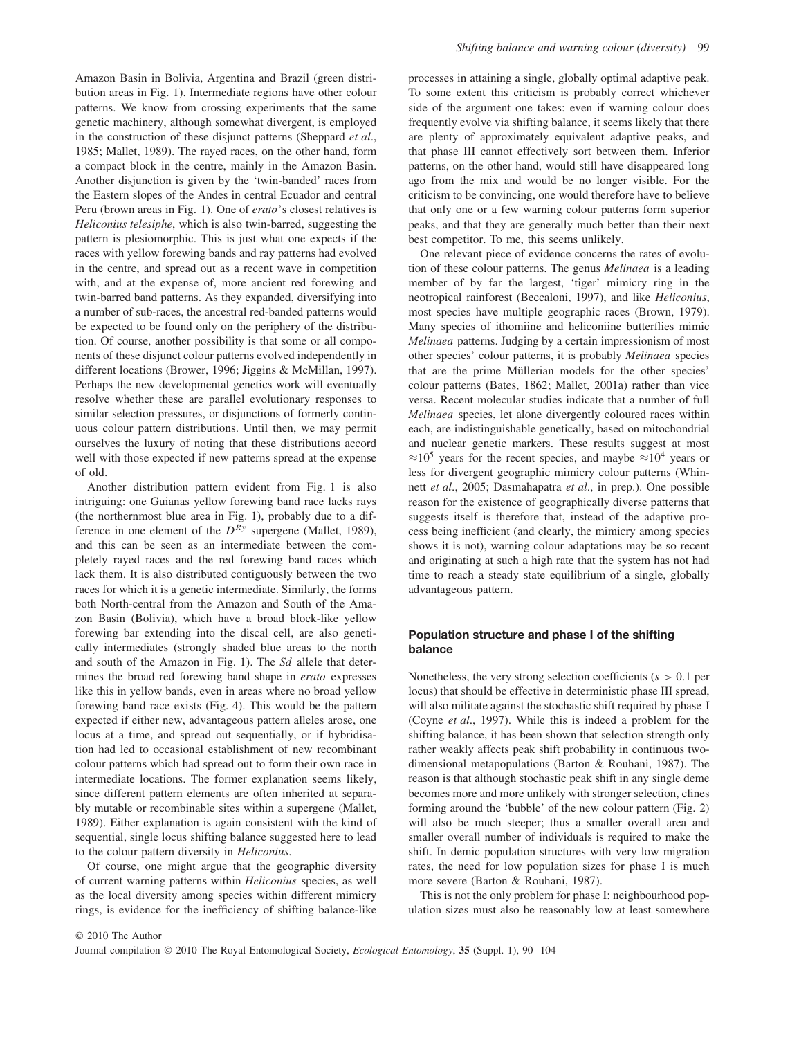Amazon Basin in Bolivia, Argentina and Brazil (green distribution areas in Fig. 1). Intermediate regions have other colour patterns. We know from crossing experiments that the same genetic machinery, although somewhat divergent, is employed in the construction of these disjunct patterns (Sheppard *et al*., 1985; Mallet, 1989). The rayed races, on the other hand, form a compact block in the centre, mainly in the Amazon Basin. Another disjunction is given by the 'twin-banded' races from the Eastern slopes of the Andes in central Ecuador and central Peru (brown areas in Fig. 1). One of *erato*'s closest relatives is *Heliconius telesiphe*, which is also twin-barred, suggesting the pattern is plesiomorphic. This is just what one expects if the races with yellow forewing bands and ray patterns had evolved in the centre, and spread out as a recent wave in competition with, and at the expense of, more ancient red forewing and twin-barred band patterns. As they expanded, diversifying into a number of sub-races, the ancestral red-banded patterns would be expected to be found only on the periphery of the distribution. Of course, another possibility is that some or all components of these disjunct colour patterns evolved independently in different locations (Brower, 1996; Jiggins & McMillan, 1997). Perhaps the new developmental genetics work will eventually resolve whether these are parallel evolutionary responses to similar selection pressures, or disjunctions of formerly continuous colour pattern distributions. Until then, we may permit ourselves the luxury of noting that these distributions accord well with those expected if new patterns spread at the expense of old.

Another distribution pattern evident from Fig. 1 is also intriguing: one Guianas yellow forewing band race lacks rays (the northernmost blue area in Fig. 1), probably due to a difference in one element of the *DRy* supergene (Mallet, 1989), and this can be seen as an intermediate between the completely rayed races and the red forewing band races which lack them. It is also distributed contiguously between the two races for which it is a genetic intermediate. Similarly, the forms both North-central from the Amazon and South of the Amazon Basin (Bolivia), which have a broad block-like yellow forewing bar extending into the discal cell, are also genetically intermediates (strongly shaded blue areas to the north and south of the Amazon in Fig. 1). The *Sd* allele that determines the broad red forewing band shape in *erato* expresses like this in yellow bands, even in areas where no broad yellow forewing band race exists (Fig. 4). This would be the pattern expected if either new, advantageous pattern alleles arose, one locus at a time, and spread out sequentially, or if hybridisation had led to occasional establishment of new recombinant colour patterns which had spread out to form their own race in intermediate locations. The former explanation seems likely, since different pattern elements are often inherited at separably mutable or recombinable sites within a supergene (Mallet, 1989). Either explanation is again consistent with the kind of sequential, single locus shifting balance suggested here to lead to the colour pattern diversity in *Heliconius*.

Of course, one might argue that the geographic diversity of current warning patterns within *Heliconius* species, as well as the local diversity among species within different mimicry rings, is evidence for the inefficiency of shifting balance-like processes in attaining a single, globally optimal adaptive peak. To some extent this criticism is probably correct whichever side of the argument one takes: even if warning colour does frequently evolve via shifting balance, it seems likely that there are plenty of approximately equivalent adaptive peaks, and that phase III cannot effectively sort between them. Inferior patterns, on the other hand, would still have disappeared long ago from the mix and would be no longer visible. For the criticism to be convincing, one would therefore have to believe that only one or a few warning colour patterns form superior peaks, and that they are generally much better than their next best competitor. To me, this seems unlikely.

One relevant piece of evidence concerns the rates of evolution of these colour patterns. The genus *Melinaea* is a leading member of by far the largest, 'tiger' mimicry ring in the neotropical rainforest (Beccaloni, 1997), and like *Heliconius*, most species have multiple geographic races (Brown, 1979). Many species of ithomiine and heliconiine butterflies mimic *Melinaea* patterns. Judging by a certain impressionism of most other species' colour patterns, it is probably *Melinaea* species that are the prime Müllerian models for the other species' colour patterns (Bates, 1862; Mallet, 2001a) rather than vice versa. Recent molecular studies indicate that a number of full *Melinaea* species, let alone divergently coloured races within each, are indistinguishable genetically, based on mitochondrial and nuclear genetic markers. These results suggest at most  $\approx$ 10<sup>5</sup> years for the recent species, and maybe  $\approx$ 10<sup>4</sup> years or less for divergent geographic mimicry colour patterns (Whinnett *et al*., 2005; Dasmahapatra *et al*., in prep.). One possible reason for the existence of geographically diverse patterns that suggests itself is therefore that, instead of the adaptive process being inefficient (and clearly, the mimicry among species shows it is not), warning colour adaptations may be so recent and originating at such a high rate that the system has not had time to reach a steady state equilibrium of a single, globally advantageous pattern.

## **Population structure and phase I of the shifting balance**

Nonetheless, the very strong selection coefficients (*s >* 0*.*1 per locus) that should be effective in deterministic phase III spread, will also militate against the stochastic shift required by phase I (Coyne *et al*., 1997). While this is indeed a problem for the shifting balance, it has been shown that selection strength only rather weakly affects peak shift probability in continuous twodimensional metapopulations (Barton & Rouhani, 1987). The reason is that although stochastic peak shift in any single deme becomes more and more unlikely with stronger selection, clines forming around the 'bubble' of the new colour pattern (Fig. 2) will also be much steeper; thus a smaller overall area and smaller overall number of individuals is required to make the shift. In demic population structures with very low migration rates, the need for low population sizes for phase I is much more severe (Barton & Rouhani, 1987).

This is not the only problem for phase I: neighbourhood population sizes must also be reasonably low at least somewhere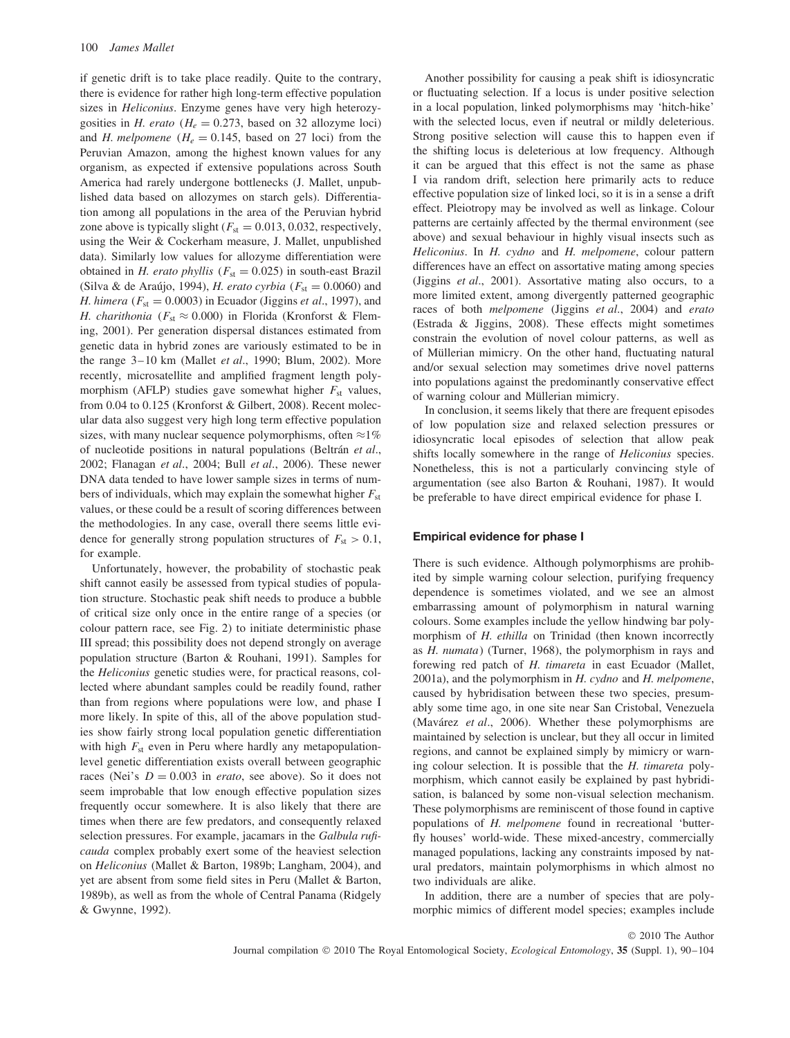if genetic drift is to take place readily. Quite to the contrary, there is evidence for rather high long-term effective population sizes in *Heliconius*. Enzyme genes have very high heterozygosities in *H. erato* ( $H_e = 0.273$ , based on 32 allozyme loci) and *H. melpomene* ( $H_e = 0.145$ , based on 27 loci) from the Peruvian Amazon, among the highest known values for any organism, as expected if extensive populations across South America had rarely undergone bottlenecks (J. Mallet, unpublished data based on allozymes on starch gels). Differentiation among all populations in the area of the Peruvian hybrid zone above is typically slight ( $F_{st} = 0.013, 0.032$ , respectively, using the Weir & Cockerham measure, J. Mallet, unpublished data). Similarly low values for allozyme differentiation were obtained in *H. erato phyllis* ( $F_{st} = 0.025$ ) in south-east Brazil (Silva & de Araújo, 1994), *H. erato cyrbia* ( $F_{st} = 0.0060$ ) and *H. himera* (*F*st = 0*.*0003) in Ecuador (Jiggins *et al*., 1997), and *H. charithonia* ( $F_{\text{st}} \approx 0.000$ ) in Florida (Kronforst & Fleming, 2001). Per generation dispersal distances estimated from genetic data in hybrid zones are variously estimated to be in the range 3–10 km (Mallet *et al*., 1990; Blum, 2002). More recently, microsatellite and amplified fragment length polymorphism (AFLP) studies gave somewhat higher  $F_{st}$  values, from 0.04 to 0.125 (Kronforst & Gilbert, 2008). Recent molecular data also suggest very high long term effective population sizes, with many nuclear sequence polymorphisms, often  $\approx$ 1% of nucleotide positions in natural populations (Beltrán *et al.*, 2002; Flanagan *et al*., 2004; Bull *et al*., 2006). These newer DNA data tended to have lower sample sizes in terms of numbers of individuals, which may explain the somewhat higher  $F_{st}$ values, or these could be a result of scoring differences between the methodologies. In any case, overall there seems little evidence for generally strong population structures of  $F_{\text{st}} > 0.1$ , for example.

Unfortunately, however, the probability of stochastic peak shift cannot easily be assessed from typical studies of population structure. Stochastic peak shift needs to produce a bubble of critical size only once in the entire range of a species (or colour pattern race, see Fig. 2) to initiate deterministic phase III spread; this possibility does not depend strongly on average population structure (Barton & Rouhani, 1991). Samples for the *Heliconius* genetic studies were, for practical reasons, collected where abundant samples could be readily found, rather than from regions where populations were low, and phase I more likely. In spite of this, all of the above population studies show fairly strong local population genetic differentiation with high  $F_{st}$  even in Peru where hardly any metapopulationlevel genetic differentiation exists overall between geographic races (Nei's  $D = 0.003$  in *erato*, see above). So it does not seem improbable that low enough effective population sizes frequently occur somewhere. It is also likely that there are times when there are few predators, and consequently relaxed selection pressures. For example, jacamars in the *Galbula ruficauda* complex probably exert some of the heaviest selection on *Heliconius* (Mallet & Barton, 1989b; Langham, 2004), and yet are absent from some field sites in Peru (Mallet & Barton, 1989b), as well as from the whole of Central Panama (Ridgely & Gwynne, 1992).

Another possibility for causing a peak shift is idiosyncratic or fluctuating selection. If a locus is under positive selection in a local population, linked polymorphisms may 'hitch-hike' with the selected locus, even if neutral or mildly deleterious. Strong positive selection will cause this to happen even if the shifting locus is deleterious at low frequency. Although it can be argued that this effect is not the same as phase I via random drift, selection here primarily acts to reduce effective population size of linked loci, so it is in a sense a drift effect. Pleiotropy may be involved as well as linkage. Colour patterns are certainly affected by the thermal environment (see above) and sexual behaviour in highly visual insects such as *Heliconius*. In *H. cydno* and *H. melpomene*, colour pattern differences have an effect on assortative mating among species (Jiggins *et al*., 2001). Assortative mating also occurs, to a more limited extent, among divergently patterned geographic races of both *melpomene* (Jiggins *et al*., 2004) and *erato* (Estrada & Jiggins, 2008). These effects might sometimes constrain the evolution of novel colour patterns, as well as of Müllerian mimicry. On the other hand, fluctuating natural and/or sexual selection may sometimes drive novel patterns into populations against the predominantly conservative effect of warning colour and Müllerian mimicry.

In conclusion, it seems likely that there are frequent episodes of low population size and relaxed selection pressures or idiosyncratic local episodes of selection that allow peak shifts locally somewhere in the range of *Heliconius* species. Nonetheless, this is not a particularly convincing style of argumentation (see also Barton & Rouhani, 1987). It would be preferable to have direct empirical evidence for phase I.

#### **Empirical evidence for phase I**

There is such evidence. Although polymorphisms are prohibited by simple warning colour selection, purifying frequency dependence is sometimes violated, and we see an almost embarrassing amount of polymorphism in natural warning colours. Some examples include the yellow hindwing bar polymorphism of *H. ethilla* on Trinidad (then known incorrectly as *H. numata*) (Turner, 1968), the polymorphism in rays and forewing red patch of *H. timareta* in east Ecuador (Mallet, 2001a), and the polymorphism in *H. cydno* and *H. melpomene*, caused by hybridisation between these two species, presumably some time ago, in one site near San Cristobal, Venezuela (Mavárez *et al.*, 2006). Whether these polymorphisms are maintained by selection is unclear, but they all occur in limited regions, and cannot be explained simply by mimicry or warning colour selection. It is possible that the *H. timareta* polymorphism, which cannot easily be explained by past hybridisation, is balanced by some non-visual selection mechanism. These polymorphisms are reminiscent of those found in captive populations of *H. melpomene* found in recreational 'butterfly houses' world-wide. These mixed-ancestry, commercially managed populations, lacking any constraints imposed by natural predators, maintain polymorphisms in which almost no two individuals are alike.

In addition, there are a number of species that are polymorphic mimics of different model species; examples include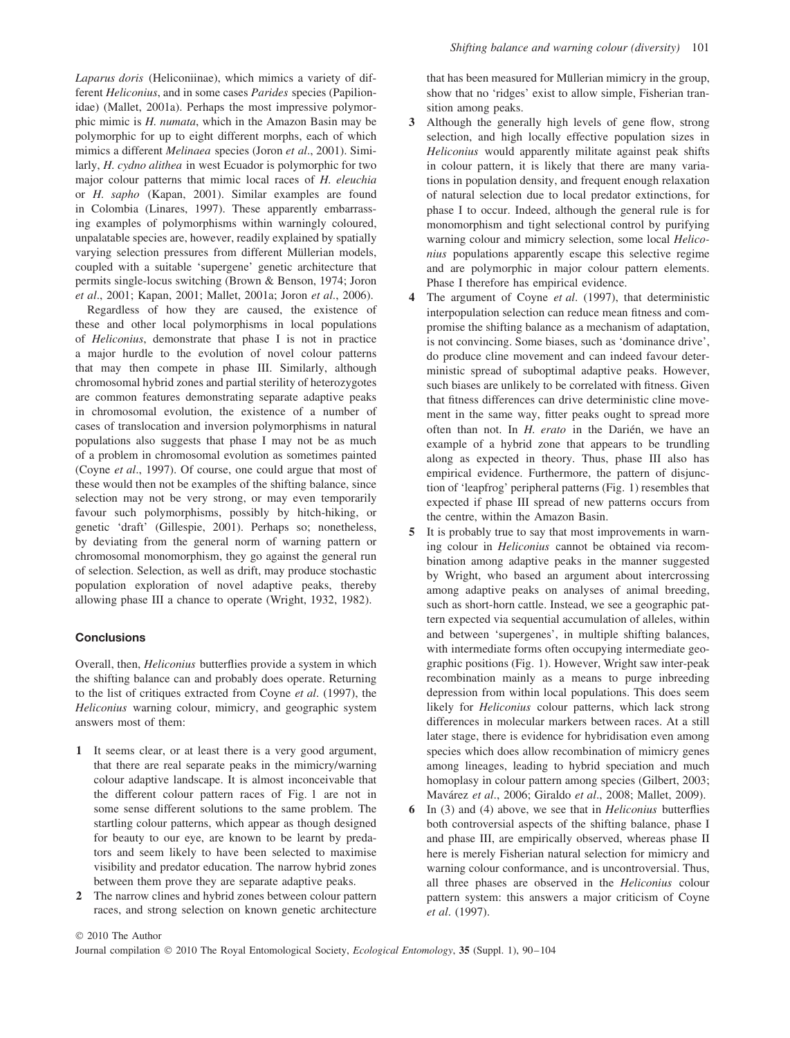*Laparus doris* (Heliconiinae), which mimics a variety of different *Heliconius*, and in some cases *Parides* species (Papilionidae) (Mallet, 2001a). Perhaps the most impressive polymorphic mimic is *H. numata*, which in the Amazon Basin may be polymorphic for up to eight different morphs, each of which mimics a different *Melinaea* species (Joron *et al*., 2001). Similarly, *H. cydno alithea* in west Ecuador is polymorphic for two major colour patterns that mimic local races of *H. eleuchia* or *H. sapho* (Kapan, 2001). Similar examples are found in Colombia (Linares, 1997). These apparently embarrassing examples of polymorphisms within warningly coloured, unpalatable species are, however, readily explained by spatially varying selection pressures from different Müllerian models, coupled with a suitable 'supergene' genetic architecture that permits single-locus switching (Brown & Benson, 1974; Joron *et al*., 2001; Kapan, 2001; Mallet, 2001a; Joron *et al*., 2006).

Regardless of how they are caused, the existence of these and other local polymorphisms in local populations of *Heliconius*, demonstrate that phase I is not in practice a major hurdle to the evolution of novel colour patterns that may then compete in phase III. Similarly, although chromosomal hybrid zones and partial sterility of heterozygotes are common features demonstrating separate adaptive peaks in chromosomal evolution, the existence of a number of cases of translocation and inversion polymorphisms in natural populations also suggests that phase I may not be as much of a problem in chromosomal evolution as sometimes painted (Coyne *et al*., 1997). Of course, one could argue that most of these would then not be examples of the shifting balance, since selection may not be very strong, or may even temporarily favour such polymorphisms, possibly by hitch-hiking, or genetic 'draft' (Gillespie, 2001). Perhaps so; nonetheless, by deviating from the general norm of warning pattern or chromosomal monomorphism, they go against the general run of selection. Selection, as well as drift, may produce stochastic population exploration of novel adaptive peaks, thereby allowing phase III a chance to operate (Wright, 1932, 1982).

### **Conclusions**

Overall, then, *Heliconius* butterflies provide a system in which the shifting balance can and probably does operate. Returning to the list of critiques extracted from Coyne *et al*. (1997), the *Heliconius* warning colour, mimicry, and geographic system answers most of them:

- **1** It seems clear, or at least there is a very good argument, that there are real separate peaks in the mimicry/warning colour adaptive landscape. It is almost inconceivable that the different colour pattern races of Fig. 1 are not in some sense different solutions to the same problem. The startling colour patterns, which appear as though designed for beauty to our eye, are known to be learnt by predators and seem likely to have been selected to maximise visibility and predator education. The narrow hybrid zones between them prove they are separate adaptive peaks.
- **2** The narrow clines and hybrid zones between colour pattern races, and strong selection on known genetic architecture

that has been measured for Müllerian mimicry in the group, show that no 'ridges' exist to allow simple, Fisherian transition among peaks.

- **3** Although the generally high levels of gene flow, strong selection, and high locally effective population sizes in *Heliconius* would apparently militate against peak shifts in colour pattern, it is likely that there are many variations in population density, and frequent enough relaxation of natural selection due to local predator extinctions, for phase I to occur. Indeed, although the general rule is for monomorphism and tight selectional control by purifying warning colour and mimicry selection, some local *Heliconius* populations apparently escape this selective regime and are polymorphic in major colour pattern elements. Phase I therefore has empirical evidence.
- **4** The argument of Coyne *et al*. (1997), that deterministic interpopulation selection can reduce mean fitness and compromise the shifting balance as a mechanism of adaptation, is not convincing. Some biases, such as 'dominance drive', do produce cline movement and can indeed favour deterministic spread of suboptimal adaptive peaks. However, such biases are unlikely to be correlated with fitness. Given that fitness differences can drive deterministic cline movement in the same way, fitter peaks ought to spread more often than not. In *H. erato* in the Darién, we have an example of a hybrid zone that appears to be trundling along as expected in theory. Thus, phase III also has empirical evidence. Furthermore, the pattern of disjunction of 'leapfrog' peripheral patterns (Fig. 1) resembles that expected if phase III spread of new patterns occurs from the centre, within the Amazon Basin.
- **5** It is probably true to say that most improvements in warning colour in *Heliconius* cannot be obtained via recombination among adaptive peaks in the manner suggested by Wright, who based an argument about intercrossing among adaptive peaks on analyses of animal breeding, such as short-horn cattle. Instead, we see a geographic pattern expected via sequential accumulation of alleles, within and between 'supergenes', in multiple shifting balances, with intermediate forms often occupying intermediate geographic positions (Fig. 1). However, Wright saw inter-peak recombination mainly as a means to purge inbreeding depression from within local populations. This does seem likely for *Heliconius* colour patterns, which lack strong differences in molecular markers between races. At a still later stage, there is evidence for hybridisation even among species which does allow recombination of mimicry genes among lineages, leading to hybrid speciation and much homoplasy in colour pattern among species (Gilbert, 2003; Mavárez et al., 2006; Giraldo et al., 2008; Mallet, 2009).
- **6** In (3) and (4) above, we see that in *Heliconius* butterflies both controversial aspects of the shifting balance, phase I and phase III, are empirically observed, whereas phase II here is merely Fisherian natural selection for mimicry and warning colour conformance, and is uncontroversial. Thus, all three phases are observed in the *Heliconius* colour pattern system: this answers a major criticism of Coyne *et al*. (1997).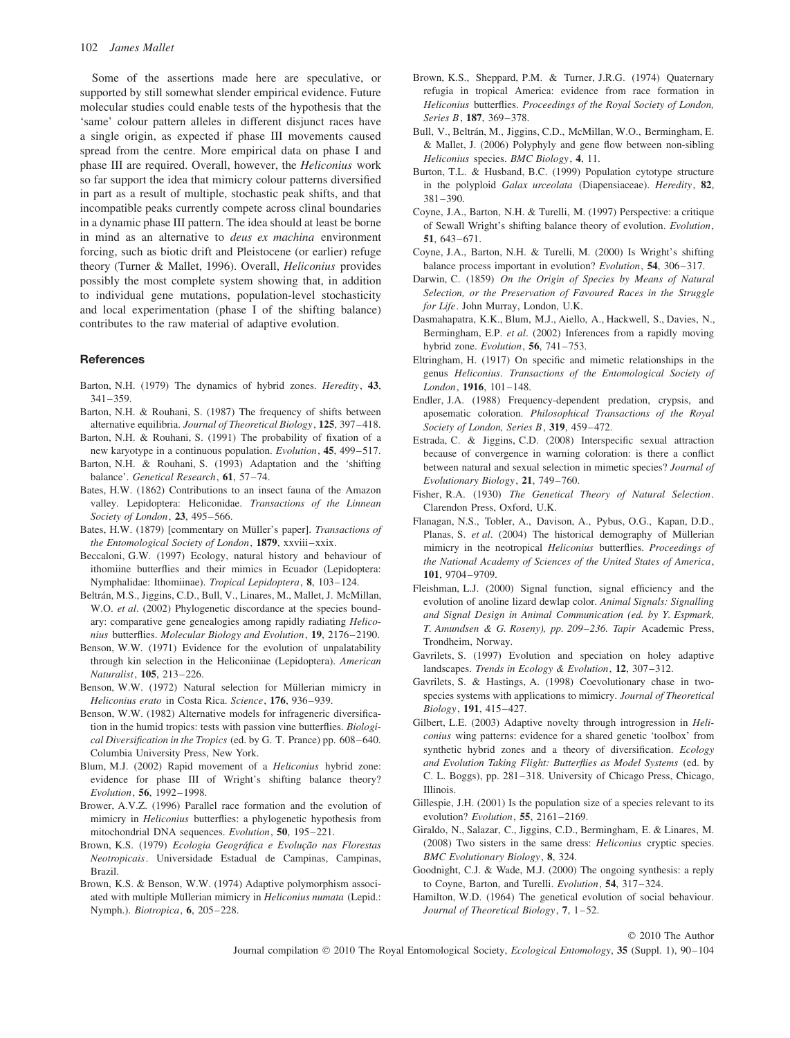Some of the assertions made here are speculative, or supported by still somewhat slender empirical evidence. Future molecular studies could enable tests of the hypothesis that the 'same' colour pattern alleles in different disjunct races have a single origin, as expected if phase III movements caused spread from the centre. More empirical data on phase I and phase III are required. Overall, however, the *Heliconius* work so far support the idea that mimicry colour patterns diversified in part as a result of multiple, stochastic peak shifts, and that incompatible peaks currently compete across clinal boundaries in a dynamic phase III pattern. The idea should at least be borne in mind as an alternative to *deus ex machina* environment forcing, such as biotic drift and Pleistocene (or earlier) refuge theory (Turner & Mallet, 1996). Overall, *Heliconius* provides possibly the most complete system showing that, in addition to individual gene mutations, population-level stochasticity and local experimentation (phase I of the shifting balance) contributes to the raw material of adaptive evolution.

#### **References**

- Barton, N.H. (1979) The dynamics of hybrid zones. *Heredity*, **43**, 341–359.
- Barton, N.H. & Rouhani, S. (1987) The frequency of shifts between alternative equilibria. *Journal of Theoretical Biology*, **125**, 397–418.
- Barton, N.H. & Rouhani, S. (1991) The probability of fixation of a new karyotype in a continuous population. *Evolution*, **45**, 499–517.
- Barton, N.H. & Rouhani, S. (1993) Adaptation and the 'shifting balance'. *Genetical Research*, **61**, 57–74.
- Bates, H.W. (1862) Contributions to an insect fauna of the Amazon valley. Lepidoptera: Heliconidae. *Transactions of the Linnean Society of London*, **23**, 495–566.
- Bates, H.W. (1879) [commentary on Müller's paper]. *Transactions of the Entomological Society of London*, **1879**, xxviii–xxix.
- Beccaloni, G.W. (1997) Ecology, natural history and behaviour of ithomiine butterflies and their mimics in Ecuador (Lepidoptera: Nymphalidae: Ithomiinae). *Tropical Lepidoptera*, **8**, 103–124.
- Beltrán, M.S., Jiggins, C.D., Bull, V., Linares, M., Mallet, J. McMillan, W.O. *et al.* (2002) Phylogenetic discordance at the species boundary: comparative gene genealogies among rapidly radiating *Heliconius* butterflies. *Molecular Biology and Evolution*, **19**, 2176–2190.
- Benson, W.W. (1971) Evidence for the evolution of unpalatability through kin selection in the Heliconiinae (Lepidoptera). *American Naturalist*, **105**, 213–226.
- Benson, W.W. (1972) Natural selection for Müllerian mimicry in *Heliconius erato* in Costa Rica. *Science*, **176**, 936–939.
- Benson, W.W. (1982) Alternative models for infrageneric diversification in the humid tropics: tests with passion vine butterflies. *Biological Diversification in the Tropics* (ed. by G. T. Prance) pp. 608–640. Columbia University Press, New York.
- Blum, M.J. (2002) Rapid movement of a *Heliconius* hybrid zone: evidence for phase III of Wright's shifting balance theory? *Evolution*, **56**, 1992–1998.
- Brower, A.V.Z. (1996) Parallel race formation and the evolution of mimicry in *Heliconius* butterflies: a phylogenetic hypothesis from mitochondrial DNA sequences. *Evolution*, **50**, 195–221.
- Brown, K.S. (1979) *Ecologia Geográfica e Evolução nas Florestas Neotropicais*. Universidade Estadual de Campinas, Campinas, Brazil.
- Brown, K.S. & Benson, W.W. (1974) Adaptive polymorphism associated with multiple Müllerian mimicry in *Heliconius numata* (Lepid.: Nymph.). *Biotropica*, **6**, 205–228.
- Brown, K.S., Sheppard, P.M. & Turner, J.R.G. (1974) Quaternary refugia in tropical America: evidence from race formation in *Heliconius* butterflies. *Proceedings of the Royal Society of London, Series B*, **187**, 369–378.
- Bull, V., Beltrán, M., Jiggins, C.D., McMillan, W.O., Bermingham, E. & Mallet, J. (2006) Polyphyly and gene flow between non-sibling *Heliconius* species. *BMC Biology*, **4**, 11.
- Burton, T.L. & Husband, B.C. (1999) Population cytotype structure in the polyploid *Galax urceolata* (Diapensiaceae). *Heredity*, **82**, 381–390.
- Coyne, J.A., Barton, N.H. & Turelli, M. (1997) Perspective: a critique of Sewall Wright's shifting balance theory of evolution. *Evolution*, **51**, 643–671.
- Coyne, J.A., Barton, N.H. & Turelli, M. (2000) Is Wright's shifting balance process important in evolution? *Evolution*, **54**, 306–317.
- Darwin, C. (1859) *On the Origin of Species by Means of Natural Selection, or the Preservation of Favoured Races in the Struggle for Life*. John Murray, London, U.K.
- Dasmahapatra, K.K., Blum, M.J., Aiello, A., Hackwell, S., Davies, N., Bermingham, E.P. *et al*. (2002) Inferences from a rapidly moving hybrid zone. *Evolution*, **56**, 741–753.
- Eltringham, H. (1917) On specific and mimetic relationships in the genus *Heliconius*. *Transactions of the Entomological Society of London*, **1916**, 101–148.
- Endler, J.A. (1988) Frequency-dependent predation, crypsis, and aposematic coloration. *Philosophical Transactions of the Royal Society of London, Series B*, **319**, 459–472.
- Estrada, C. & Jiggins, C.D. (2008) Interspecific sexual attraction because of convergence in warning coloration: is there a conflict between natural and sexual selection in mimetic species? *Journal of Evolutionary Biology*, **21**, 749–760.
- Fisher, R.A. (1930) *The Genetical Theory of Natural Selection*. Clarendon Press, Oxford, U.K.
- Flanagan, N.S., Tobler, A., Davison, A., Pybus, O.G., Kapan, D.D., Planas, S. *et al.* (2004) The historical demography of Müllerian mimicry in the neotropical *Heliconius* butterflies. *Proceedings of the National Academy of Sciences of the United States of America*, **101**, 9704–9709.
- Fleishman, L.J. (2000) Signal function, signal efficiency and the evolution of anoline lizard dewlap color. *Animal Signals: Signalling and Signal Design in Animal Communication (ed. by Y. Espmark, T. Amundsen & G. Roseny), pp. 209–236. Tapir* Academic Press, Trondheim, Norway.
- Gavrilets, S. (1997) Evolution and speciation on holey adaptive landscapes. *Trends in Ecology & Evolution*, **12**, 307–312.
- Gavrilets, S. & Hastings, A. (1998) Coevolutionary chase in twospecies systems with applications to mimicry. *Journal of Theoretical Biology*, **191**, 415–427.
- Gilbert, L.E. (2003) Adaptive novelty through introgression in *Heliconius* wing patterns: evidence for a shared genetic 'toolbox' from synthetic hybrid zones and a theory of diversification. *Ecology and Evolution Taking Flight: Butterflies as Model Systems* (ed. by C. L. Boggs), pp. 281–318. University of Chicago Press, Chicago, Illinois.
- Gillespie, J.H. (2001) Is the population size of a species relevant to its evolution? *Evolution*, **55**, 2161–2169.
- Giraldo, N., Salazar, C., Jiggins, C.D., Bermingham, E. & Linares, M. (2008) Two sisters in the same dress: *Heliconius* cryptic species. *BMC Evolutionary Biology*, **8**, 324.
- Goodnight, C.J. & Wade, M.J. (2000) The ongoing synthesis: a reply to Coyne, Barton, and Turelli. *Evolution*, **54**, 317–324.
- Hamilton, W.D. (1964) The genetical evolution of social behaviour. *Journal of Theoretical Biology*, **7**, 1–52.

© 2010 The Author

Journal compilation © 2010 The Royal Entomological Society, *Ecological Entomology*, **35** (Suppl. 1), 90–104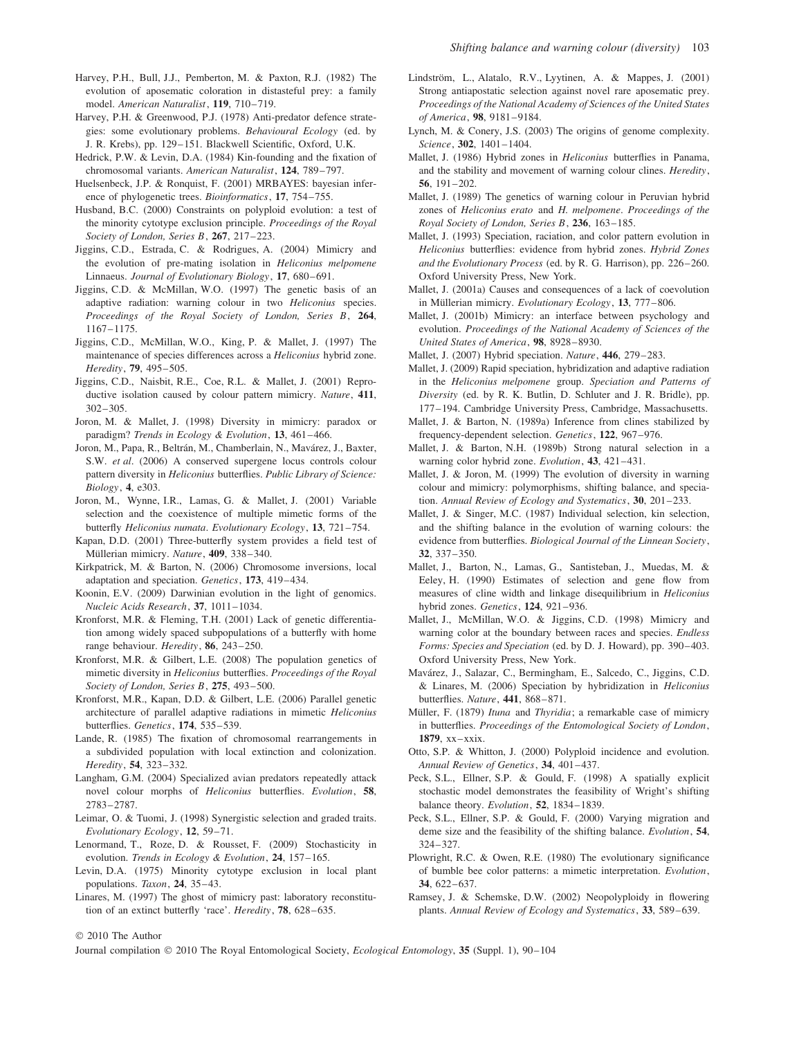- Harvey, P.H., Bull, J.J., Pemberton, M. & Paxton, R.J. (1982) The evolution of aposematic coloration in distasteful prey: a family model. *American Naturalist*, **119**, 710–719.
- Harvey, P.H. & Greenwood, P.J. (1978) Anti-predator defence strategies: some evolutionary problems. *Behavioural Ecology* (ed. by J. R. Krebs), pp. 129–151. Blackwell Scientific, Oxford, U.K.
- Hedrick, P.W. & Levin, D.A. (1984) Kin-founding and the fixation of chromosomal variants. *American Naturalist*, **124**, 789–797.
- Huelsenbeck, J.P. & Ronquist, F. (2001) MRBAYES: bayesian inference of phylogenetic trees. *Bioinformatics*, **17**, 754–755.
- Husband, B.C. (2000) Constraints on polyploid evolution: a test of the minority cytotype exclusion principle. *Proceedings of the Royal Society of London, Series B*, **267**, 217–223.
- Jiggins, C.D., Estrada, C. & Rodrigues, A. (2004) Mimicry and the evolution of pre-mating isolation in *Heliconius melpomene* Linnaeus. *Journal of Evolutionary Biology*, **17**, 680–691.
- Jiggins, C.D. & McMillan, W.O. (1997) The genetic basis of an adaptive radiation: warning colour in two *Heliconius* species. *Proceedings of the Royal Society of London, Series B*, **264**, 1167–1175.
- Jiggins, C.D., McMillan, W.O., King, P. & Mallet, J. (1997) The maintenance of species differences across a *Heliconius* hybrid zone. *Heredity*, **79**, 495–505.
- Jiggins, C.D., Naisbit, R.E., Coe, R.L. & Mallet, J. (2001) Reproductive isolation caused by colour pattern mimicry. *Nature*, **411**, 302–305.
- Joron, M. & Mallet, J. (1998) Diversity in mimicry: paradox or paradigm? *Trends in Ecology & Evolution*, **13**, 461–466.
- Joron, M., Papa, R., Beltrán, M., Chamberlain, N., Mavárez, J., Baxter, S.W. *et al*. (2006) A conserved supergene locus controls colour pattern diversity in *Heliconius* butterflies. *Public Library of Science: Biology*, **4**, e303.
- Joron, M., Wynne, I.R., Lamas, G. & Mallet, J. (2001) Variable selection and the coexistence of multiple mimetic forms of the butterfly *Heliconius numata*. *Evolutionary Ecology*, **13**, 721–754.
- Kapan, D.D. (2001) Three-butterfly system provides a field test of Müllerian mimicry. Nature, 409, 338-340.
- Kirkpatrick, M. & Barton, N. (2006) Chromosome inversions, local adaptation and speciation. *Genetics*, **173**, 419–434.
- Koonin, E.V. (2009) Darwinian evolution in the light of genomics. *Nucleic Acids Research*, **37**, 1011–1034.
- Kronforst, M.R. & Fleming, T.H. (2001) Lack of genetic differentiation among widely spaced subpopulations of a butterfly with home range behaviour. *Heredity*, **86**, 243–250.
- Kronforst, M.R. & Gilbert, L.E. (2008) The population genetics of mimetic diversity in *Heliconius* butterflies. *Proceedings of the Royal Society of London, Series B*, **275**, 493–500.
- Kronforst, M.R., Kapan, D.D. & Gilbert, L.E. (2006) Parallel genetic architecture of parallel adaptive radiations in mimetic *Heliconius* butterflies. *Genetics*, **174**, 535–539.
- Lande, R. (1985) The fixation of chromosomal rearrangements in a subdivided population with local extinction and colonization. *Heredity*, **54**, 323–332.
- Langham, G.M. (2004) Specialized avian predators repeatedly attack novel colour morphs of *Heliconius* butterflies. *Evolution*, **58**, 2783–2787.
- Leimar, O. & Tuomi, J. (1998) Synergistic selection and graded traits. *Evolutionary Ecology*, **12**, 59–71.
- Lenormand, T., Roze, D. & Rousset, F. (2009) Stochasticity in evolution. *Trends in Ecology & Evolution*, **24**, 157–165.
- Levin, D.A. (1975) Minority cytotype exclusion in local plant populations. *Taxon*, **24**, 35–43.
- Linares, M. (1997) The ghost of mimicry past: laboratory reconstitution of an extinct butterfly 'race'. *Heredity*, **78**, 628–635.
- Lindström, L., Alatalo, R.V., Lyytinen, A. & Mappes, J. (2001) Strong antiapostatic selection against novel rare aposematic prey. *Proceedings of the National Academy of Sciences of the United States of America*, **98**, 9181–9184.
- Lynch, M. & Conery, J.S. (2003) The origins of genome complexity. *Science*, **302**, 1401–1404.
- Mallet, J. (1986) Hybrid zones in *Heliconius* butterflies in Panama, and the stability and movement of warning colour clines. *Heredity*, **56**, 191–202.
- Mallet, J. (1989) The genetics of warning colour in Peruvian hybrid zones of *Heliconius erato* and *H. melpomene*. *Proceedings of the Royal Society of London, Series B*, **236**, 163–185.
- Mallet, J. (1993) Speciation, raciation, and color pattern evolution in *Heliconius* butterflies: evidence from hybrid zones. *Hybrid Zones and the Evolutionary Process* (ed. by R. G. Harrison), pp. 226–260. Oxford University Press, New York.
- Mallet, J. (2001a) Causes and consequences of a lack of coevolution in Müllerian mimicry. Evolutionary Ecology, 13, 777–806.
- Mallet, J. (2001b) Mimicry: an interface between psychology and evolution. *Proceedings of the National Academy of Sciences of the United States of America*, **98**, 8928–8930.
- Mallet, J. (2007) Hybrid speciation. *Nature*, **446**, 279–283.
- Mallet, J. (2009) Rapid speciation, hybridization and adaptive radiation in the *Heliconius melpomene* group. *Speciation and Patterns of Diversity* (ed. by R. K. Butlin, D. Schluter and J. R. Bridle), pp. 177–194. Cambridge University Press, Cambridge, Massachusetts.
- Mallet, J. & Barton, N. (1989a) Inference from clines stabilized by frequency-dependent selection. *Genetics*, **122**, 967–976.
- Mallet, J. & Barton, N.H. (1989b) Strong natural selection in a warning color hybrid zone. *Evolution*, **43**, 421–431.
- Mallet, J. & Joron, M. (1999) The evolution of diversity in warning colour and mimicry: polymorphisms, shifting balance, and speciation. *Annual Review of Ecology and Systematics*, **30**, 201–233.
- Mallet, J. & Singer, M.C. (1987) Individual selection, kin selection, and the shifting balance in the evolution of warning colours: the evidence from butterflies. *Biological Journal of the Linnean Society*, **32**, 337–350.
- Mallet, J., Barton, N., Lamas, G., Santisteban, J., Muedas, M. & Eeley, H. (1990) Estimates of selection and gene flow from measures of cline width and linkage disequilibrium in *Heliconius* hybrid zones. *Genetics*, **124**, 921–936.
- Mallet, J., McMillan, W.O. & Jiggins, C.D. (1998) Mimicry and warning color at the boundary between races and species. *Endless Forms: Species and Speciation* (ed. by D. J. Howard), pp. 390–403. Oxford University Press, New York.
- Mavarez, J., Salazar, C., Bermingham, E., Salcedo, C., Jiggins, C.D. ´ & Linares, M. (2006) Speciation by hybridization in *Heliconius* butterflies. *Nature*, **441**, 868–871.
- Müller, F. (1879) Ituna and *Thyridia*; a remarkable case of mimicry in butterflies. *Proceedings of the Entomological Society of London*, **1879**, xx–xxix.
- Otto, S.P. & Whitton, J. (2000) Polyploid incidence and evolution. *Annual Review of Genetics*, **34**, 401–437.
- Peck, S.L., Ellner, S.P. & Gould, F. (1998) A spatially explicit stochastic model demonstrates the feasibility of Wright's shifting balance theory. *Evolution*, **52**, 1834–1839.
- Peck, S.L., Ellner, S.P. & Gould, F. (2000) Varying migration and deme size and the feasibility of the shifting balance. *Evolution*, **54**, 324–327.
- Plowright, R.C. & Owen, R.E. (1980) The evolutionary significance of bumble bee color patterns: a mimetic interpretation. *Evolution*, **34**, 622–637.
- Ramsey, J. & Schemske, D.W. (2002) Neopolyploidy in flowering plants. *Annual Review of Ecology and Systematics*, **33**, 589–639.

© 2010 The Author

Journal compilation © 2010 The Royal Entomological Society, *Ecological Entomology*, **35** (Suppl. 1), 90–104